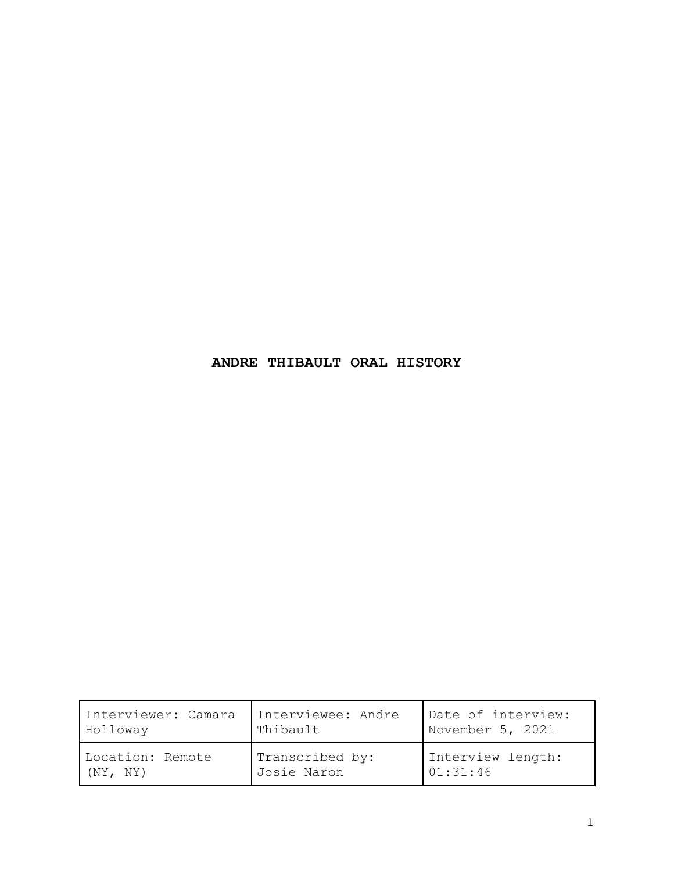## **ANDRE THIBAULT ORAL HISTORY**

| Interviewer: Camara | Interviewee: Andre | Date of interview: |
|---------------------|--------------------|--------------------|
| Holloway            | Thibault           | November 5, 2021   |
| Location: Remote    | Transcribed by:    | Interview length:  |
| (NY, NY)            | Josie Naron        | 01:31:46           |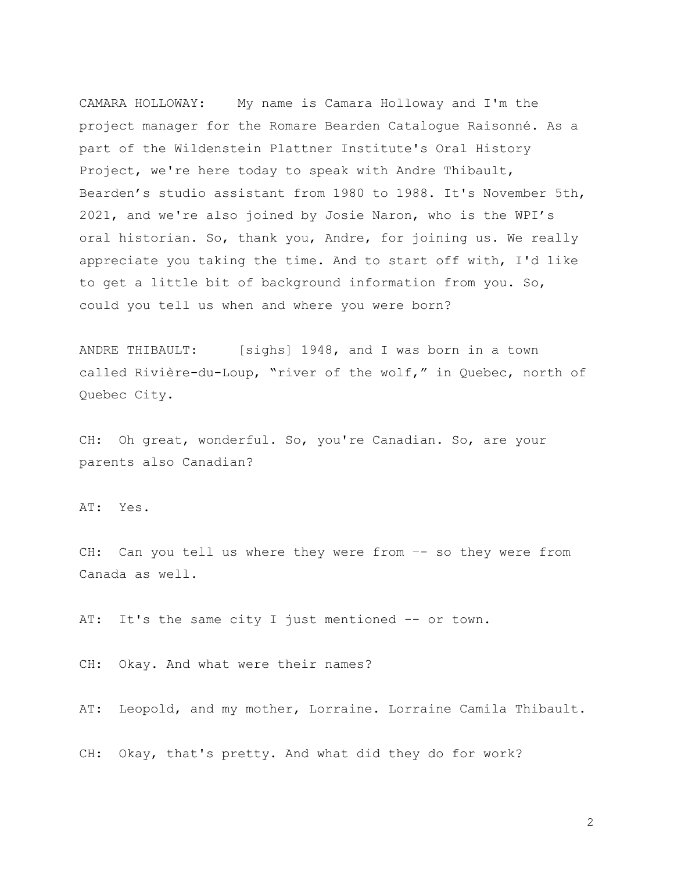CAMARA HOLLOWAY: My name is Camara Holloway and I'm the project manager for the Romare Bearden Catalogue Raisonné. As a part of the Wildenstein Plattner Institute's Oral History Project, we're here today to speak with Andre Thibault, Bearden's studio assistant from 1980 to 1988. It's November 5th, 2021, and we're also joined by Josie Naron, who is the WPI's oral historian. So, thank you, Andre, for joining us. We really appreciate you taking the time. And to start off with, I'd like to get a little bit of background information from you. So, could you tell us when and where you were born?

ANDRE THIBAULT: [sighs] 1948, and I was born in a town called Rivière-du-Loup, "river of the wolf," in Quebec, north of Quebec City.

CH: Oh great, wonderful. So, you're Canadian. So, are your parents also Canadian?

AT: Yes.

CH: Can you tell us where they were from –- so they were from Canada as well.

AT: It's the same city I just mentioned -- or town.

CH: Okay. And what were their names?

AT: Leopold, and my mother, Lorraine. Lorraine Camila Thibault.

CH: Okay, that's pretty. And what did they do for work?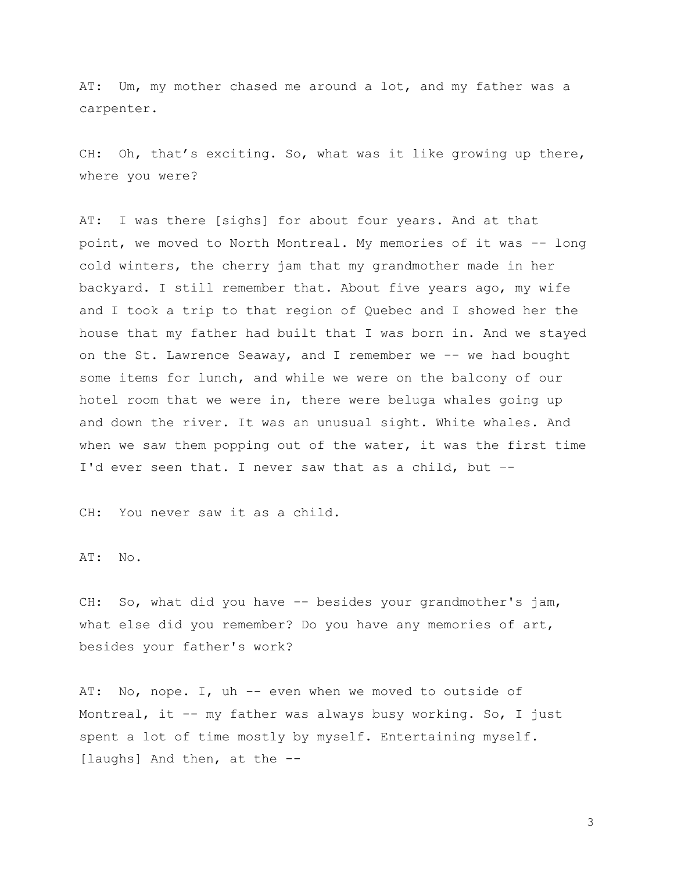AT: Um, my mother chased me around a lot, and my father was a carpenter.

CH: Oh, that's exciting. So, what was it like growing up there, where you were?

AT: I was there [sighs] for about four years. And at that point, we moved to North Montreal. My memories of it was -- long cold winters, the cherry jam that my grandmother made in her backyard. I still remember that. About five years ago, my wife and I took a trip to that region of Quebec and I showed her the house that my father had built that I was born in. And we stayed on the St. Lawrence Seaway, and I remember we -- we had bought some items for lunch, and while we were on the balcony of our hotel room that we were in, there were beluga whales going up and down the river. It was an unusual sight. White whales. And when we saw them popping out of the water, it was the first time I'd ever seen that. I never saw that as a child, but –-

CH: You never saw it as a child.

AT: No.

CH: So, what did you have -- besides your grandmother's jam, what else did you remember? Do you have any memories of art, besides your father's work?

AT: No, nope. I, uh -- even when we moved to outside of Montreal, it -- my father was always busy working. So, I just spent a lot of time mostly by myself. Entertaining myself. [laughs] And then, at the --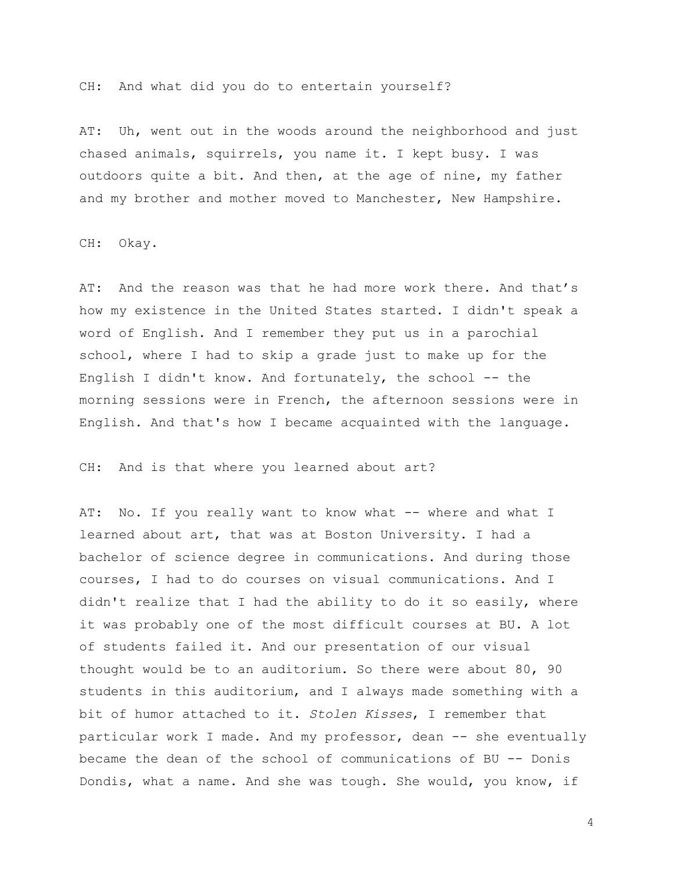CH: And what did you do to entertain yourself?

AT: Uh, went out in the woods around the neighborhood and just chased animals, squirrels, you name it. I kept busy. I was outdoors quite a bit. And then, at the age of nine, my father and my brother and mother moved to Manchester, New Hampshire.

CH: Okay.

AT: And the reason was that he had more work there. And that's how my existence in the United States started. I didn't speak a word of English. And I remember they put us in a parochial school, where I had to skip a grade just to make up for the English I didn't know. And fortunately, the school  $-$  the morning sessions were in French, the afternoon sessions were in English. And that's how I became acquainted with the language.

CH: And is that where you learned about art?

AT: No. If you really want to know what -- where and what I learned about art, that was at Boston University. I had a bachelor of science degree in communications. And during those courses, I had to do courses on visual communications. And I didn't realize that I had the ability to do it so easily, where it was probably one of the most difficult courses at BU. A lot of students failed it. And our presentation of our visual thought would be to an auditorium. So there were about 80, 90 students in this auditorium, and I always made something with a bit of humor attached to it. *Stolen Kisses*, I remember that particular work I made. And my professor, dean -- she eventually became the dean of the school of communications of BU -- Donis Dondis, what a name. And she was tough. She would, you know, if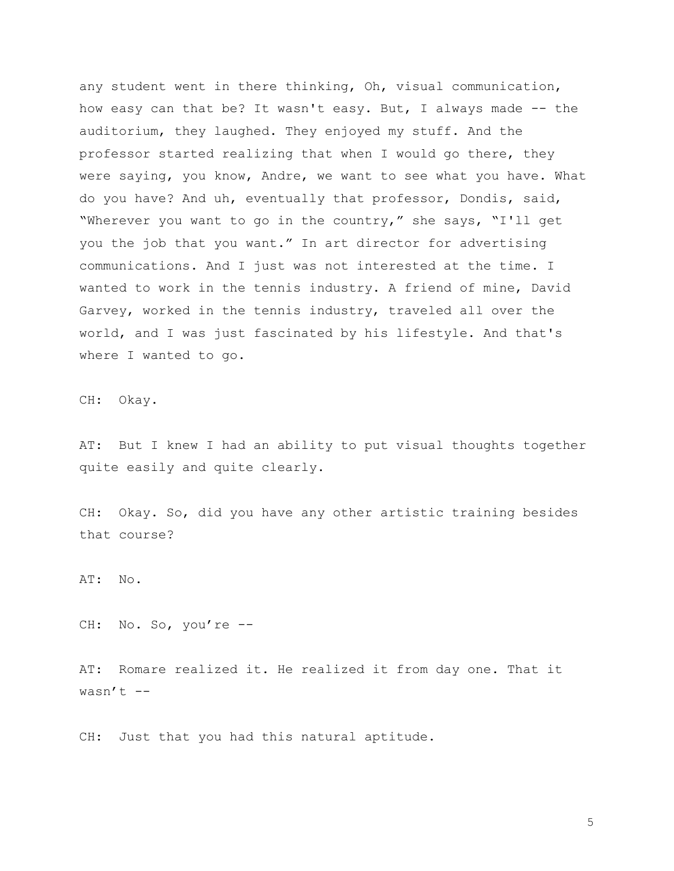any student went in there thinking, Oh, visual communication, how easy can that be? It wasn't easy. But, I always made -- the auditorium, they laughed. They enjoyed my stuff. And the professor started realizing that when I would go there, they were saying, you know, Andre, we want to see what you have. What do you have? And uh, eventually that professor, Dondis, said, "Wherever you want to go in the country," she says, "I'll get you the job that you want." In art director for advertising communications. And I just was not interested at the time. I wanted to work in the tennis industry. A friend of mine, David Garvey, worked in the tennis industry, traveled all over the world, and I was just fascinated by his lifestyle. And that's where I wanted to go.

CH: Okay.

AT: But I knew I had an ability to put visual thoughts together quite easily and quite clearly.

CH: Okay. So, did you have any other artistic training besides that course?

AT: No.

CH: No. So, you're --

AT: Romare realized it. He realized it from day one. That it wasn't  $--$ 

CH: Just that you had this natural aptitude.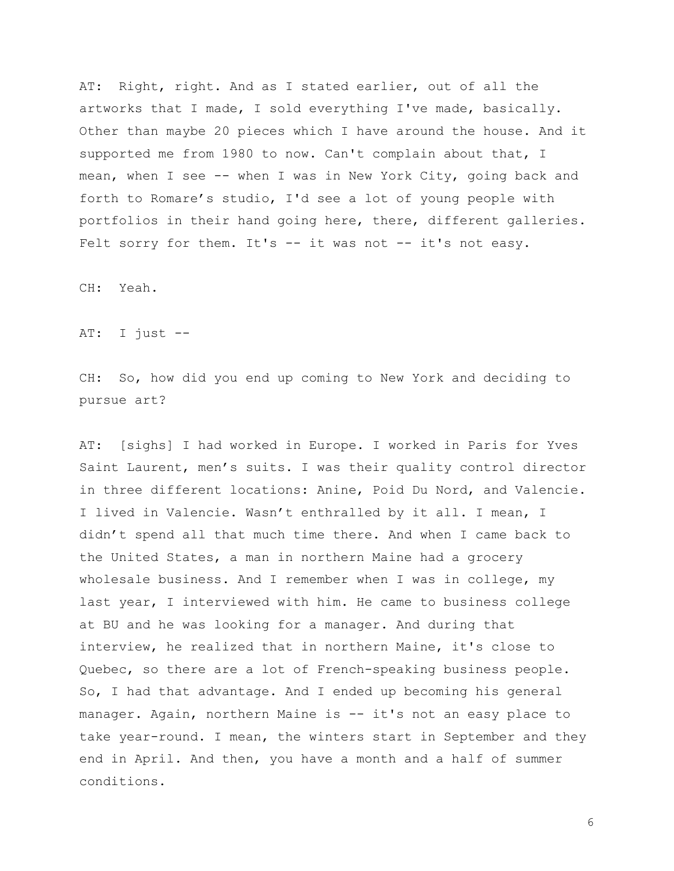AT: Right, right. And as I stated earlier, out of all the artworks that I made, I sold everything I've made, basically. Other than maybe 20 pieces which I have around the house. And it supported me from 1980 to now. Can't complain about that, I mean, when I see -- when I was in New York City, going back and forth to Romare's studio, I'd see a lot of young people with portfolios in their hand going here, there, different galleries. Felt sorry for them. It's -- it was not -- it's not easy.

CH: Yeah.

AT: I just --

CH: So, how did you end up coming to New York and deciding to pursue art?

AT: [sighs] I had worked in Europe. I worked in Paris for Yves Saint Laurent, men's suits. I was their quality control director in three different locations: Anine, Poid Du Nord, and Valencie. I lived in Valencie. Wasn't enthralled by it all. I mean, I didn't spend all that much time there. And when I came back to the United States, a man in northern Maine had a grocery wholesale business. And I remember when I was in college, my last year, I interviewed with him. He came to business college at BU and he was looking for a manager. And during that interview, he realized that in northern Maine, it's close to Quebec, so there are a lot of French-speaking business people. So, I had that advantage. And I ended up becoming his general manager. Again, northern Maine is -- it's not an easy place to take year-round. I mean, the winters start in September and they end in April. And then, you have a month and a half of summer conditions.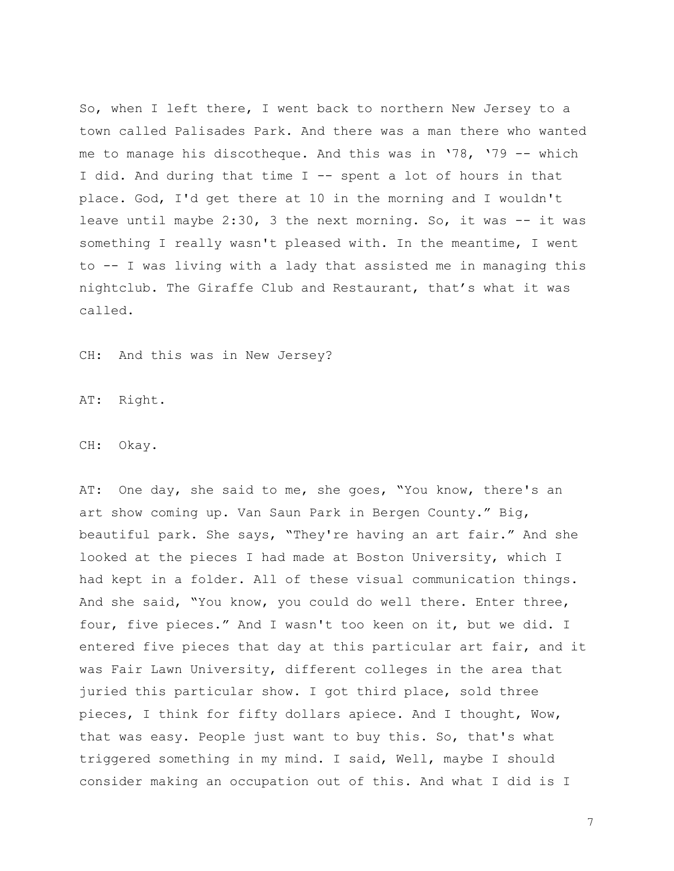So, when I left there, I went back to northern New Jersey to a town called Palisades Park. And there was a man there who wanted me to manage his discotheque. And this was in '78, '79 -- which I did. And during that time I -- spent a lot of hours in that place. God, I'd get there at 10 in the morning and I wouldn't leave until maybe  $2:30$ , 3 the next morning. So, it was  $-$  it was something I really wasn't pleased with. In the meantime, I went to -- I was living with a lady that assisted me in managing this nightclub. The Giraffe Club and Restaurant, that's what it was called.

CH: And this was in New Jersey?

AT: Right.

CH: Okay.

AT: One day, she said to me, she goes, "You know, there's an art show coming up. Van Saun Park in Bergen County." Big, beautiful park. She says, "They're having an art fair." And she looked at the pieces I had made at Boston University, which I had kept in a folder. All of these visual communication things. And she said, "You know, you could do well there. Enter three, four, five pieces." And I wasn't too keen on it, but we did. I entered five pieces that day at this particular art fair, and it was Fair Lawn University, different colleges in the area that juried this particular show. I got third place, sold three pieces, I think for fifty dollars apiece. And I thought, Wow, that was easy. People just want to buy this. So, that's what triggered something in my mind. I said, Well, maybe I should consider making an occupation out of this. And what I did is I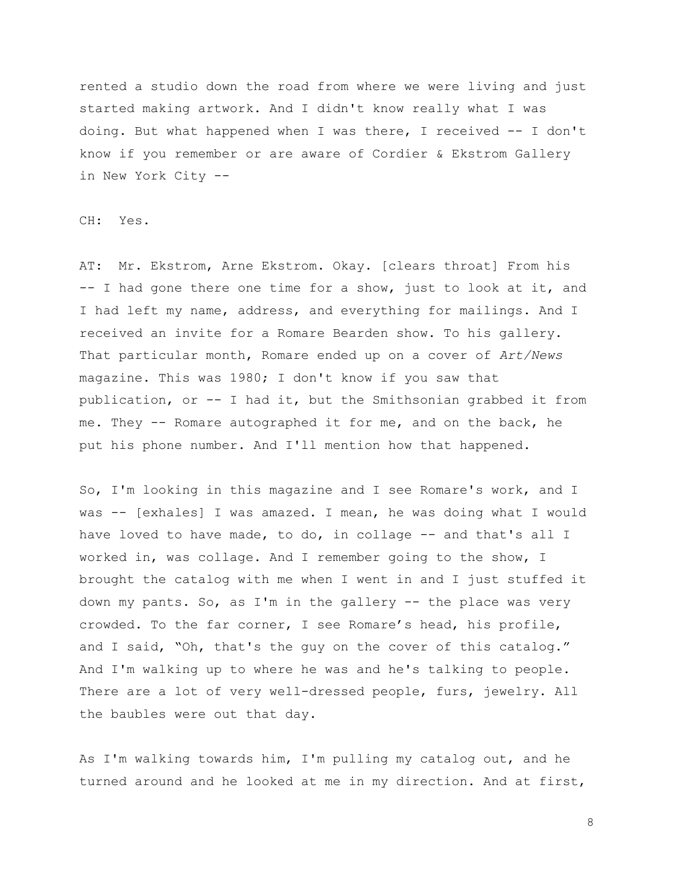rented a studio down the road from where we were living and just started making artwork. And I didn't know really what I was doing. But what happened when I was there, I received -- I don't know if you remember or are aware of Cordier & Ekstrom Gallery in New York City --

CH: Yes.

AT: Mr. Ekstrom, Arne Ekstrom. Okay. [clears throat] From his -- I had gone there one time for a show, just to look at it, and I had left my name, address, and everything for mailings. And I received an invite for a Romare Bearden show. To his gallery. That particular month, Romare ended up on a cover of *Art/News* magazine. This was 1980; I don't know if you saw that publication, or -- I had it, but the Smithsonian grabbed it from me. They -- Romare autographed it for me, and on the back, he put his phone number. And I'll mention how that happened.

So, I'm looking in this magazine and I see Romare's work, and I was -- [exhales] I was amazed. I mean, he was doing what I would have loved to have made, to do, in collage -- and that's all I worked in, was collage. And I remember going to the show, I brought the catalog with me when I went in and I just stuffed it down my pants. So, as I'm in the gallery -- the place was very crowded. To the far corner, I see Romare's head, his profile, and I said, "Oh, that's the guy on the cover of this catalog." And I'm walking up to where he was and he's talking to people. There are a lot of very well-dressed people, furs, jewelry. All the baubles were out that day.

As I'm walking towards him, I'm pulling my catalog out, and he turned around and he looked at me in my direction. And at first,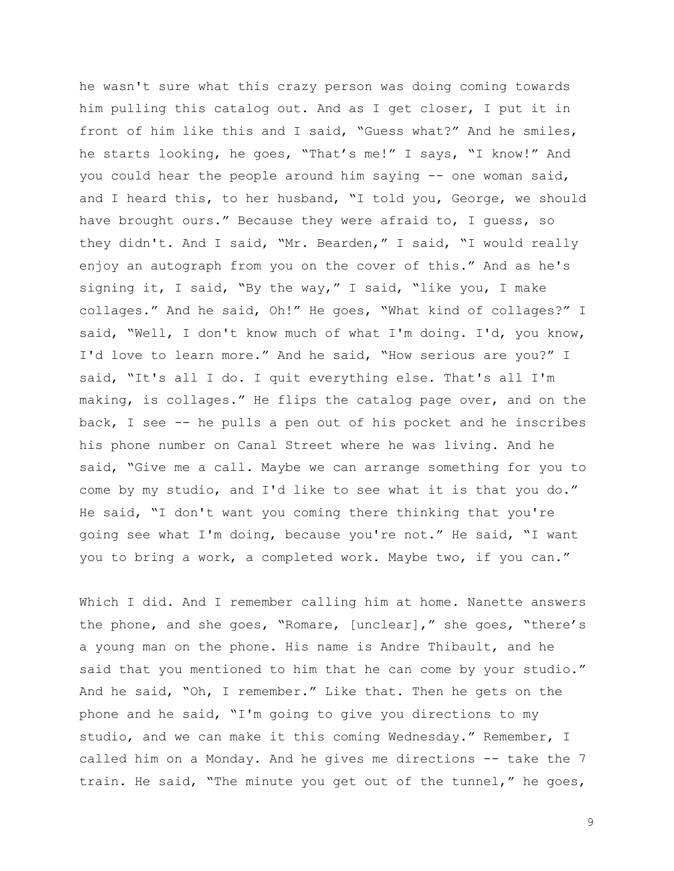he wasn't sure what this crazy person was doing coming towards him pulling this catalog out. And as I get closer, I put it in front of him like this and I said, "Guess what?" And he smiles, he starts looking, he goes, "That's me!" I says, "I know!" And you could hear the people around him saying -- one woman said, and I heard this, to her husband, "I told you, George, we should have brought ours." Because they were afraid to, I guess, so they didn't. And I said, "Mr. Bearden," I said, "I would really enjoy an autograph from you on the cover of this." And as he's signing it, I said, "By the way," I said, "like you, I make collages." And he said, Oh!" He goes, "What kind of collages?" I said, "Well, I don't know much of what I'm doing. I'd, you know, I'd love to learn more." And he said, "How serious are you?" I said, "It's all I do. I quit everything else. That's all I'm making, is collages." He flips the catalog page over, and on the back, I see -- he pulls a pen out of his pocket and he inscribes his phone number on Canal Street where he was living. And he said, "Give me a call. Maybe we can arrange something for you to come by my studio, and I'd like to see what it is that you do." He said, "I don't want you coming there thinking that you're going see what I'm doing, because you're not." He said, "I want you to bring a work, a completed work. Maybe two, if you can."

Which I did. And I remember calling him at home. Nanette answers the phone, and she goes, "Romare, [unclear]," she goes, "there's a young man on the phone. His name is Andre Thibault, and he said that you mentioned to him that he can come by your studio." And he said, "Oh, I remember." Like that. Then he gets on the phone and he said, "I'm going to give you directions to my studio, and we can make it this coming Wednesday." Remember, I called him on a Monday. And he gives me directions -- take the 7 train. He said, "The minute you get out of the tunnel," he goes,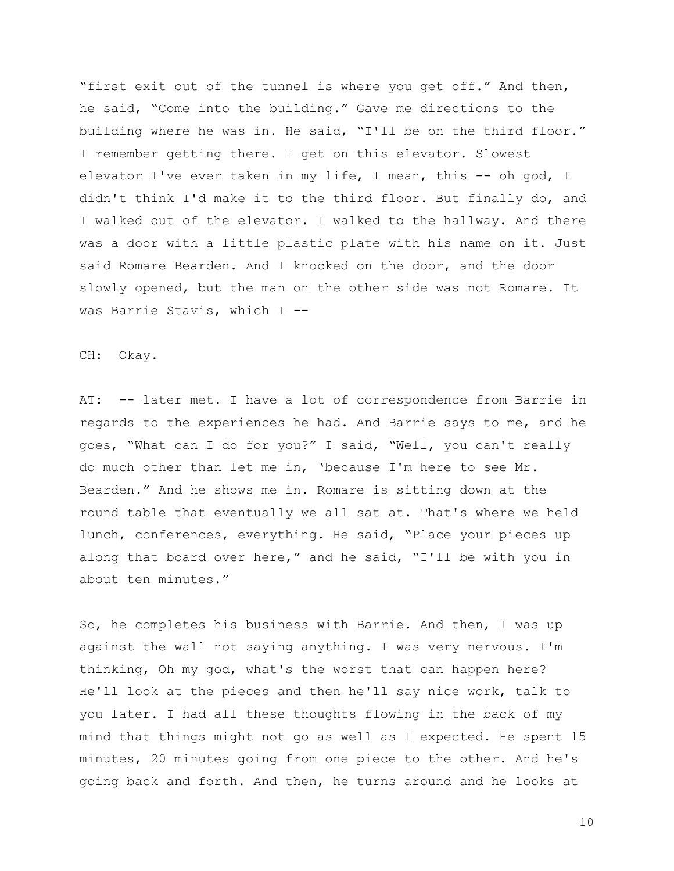"first exit out of the tunnel is where you get off." And then, he said, "Come into the building." Gave me directions to the building where he was in. He said, "I'll be on the third floor." I remember getting there. I get on this elevator. Slowest elevator I've ever taken in my life, I mean, this -- oh god, I didn't think I'd make it to the third floor. But finally do, and I walked out of the elevator. I walked to the hallway. And there was a door with a little plastic plate with his name on it. Just said Romare Bearden. And I knocked on the door, and the door slowly opened, but the man on the other side was not Romare. It was Barrie Stavis, which I --

CH: Okay.

AT: -- later met. I have a lot of correspondence from Barrie in regards to the experiences he had. And Barrie says to me, and he goes, "What can I do for you?" I said, "Well, you can't really do much other than let me in, 'because I'm here to see Mr. Bearden." And he shows me in. Romare is sitting down at the round table that eventually we all sat at. That's where we held lunch, conferences, everything. He said, "Place your pieces up along that board over here," and he said, "I'll be with you in about ten minutes."

So, he completes his business with Barrie. And then, I was up against the wall not saying anything. I was very nervous. I'm thinking, Oh my god, what's the worst that can happen here? He'll look at the pieces and then he'll say nice work, talk to you later. I had all these thoughts flowing in the back of my mind that things might not go as well as I expected. He spent 15 minutes, 20 minutes going from one piece to the other. And he's going back and forth. And then, he turns around and he looks at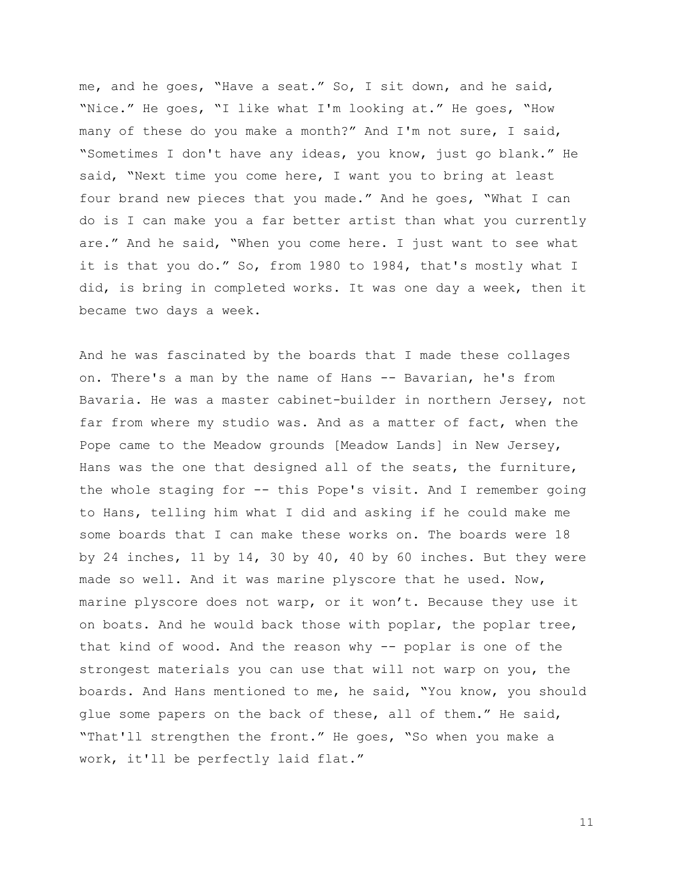me, and he goes, "Have a seat." So, I sit down, and he said, "Nice." He goes, "I like what I'm looking at." He goes, "How many of these do you make a month?" And I'm not sure, I said, "Sometimes I don't have any ideas, you know, just go blank." He said, "Next time you come here, I want you to bring at least four brand new pieces that you made." And he goes, "What I can do is I can make you a far better artist than what you currently are." And he said, "When you come here. I just want to see what it is that you do." So, from 1980 to 1984, that's mostly what I did, is bring in completed works. It was one day a week, then it became two days a week.

And he was fascinated by the boards that I made these collages on. There's a man by the name of Hans -- Bavarian, he's from Bavaria. He was a master cabinet-builder in northern Jersey, not far from where my studio was. And as a matter of fact, when the Pope came to the Meadow grounds [Meadow Lands] in New Jersey, Hans was the one that designed all of the seats, the furniture, the whole staging for -- this Pope's visit. And I remember going to Hans, telling him what I did and asking if he could make me some boards that I can make these works on. The boards were 18 by 24 inches, 11 by 14, 30 by 40, 40 by 60 inches. But they were made so well. And it was marine plyscore that he used. Now, marine plyscore does not warp, or it won't. Because they use it on boats. And he would back those with poplar, the poplar tree, that kind of wood. And the reason why -- poplar is one of the strongest materials you can use that will not warp on you, the boards. And Hans mentioned to me, he said, "You know, you should glue some papers on the back of these, all of them." He said, "That'll strengthen the front." He goes, "So when you make a work, it'll be perfectly laid flat."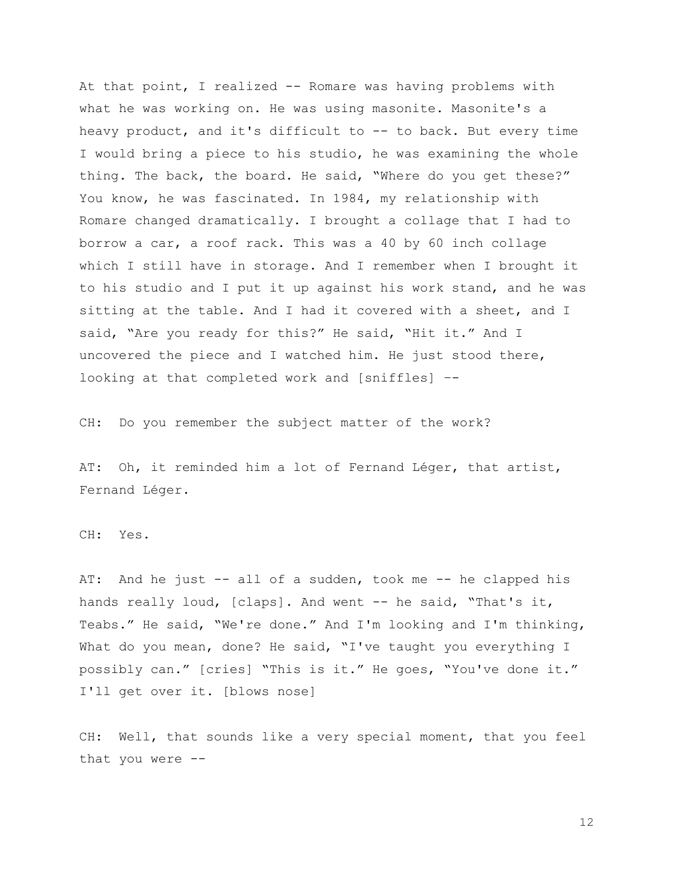At that point, I realized -- Romare was having problems with what he was working on. He was using masonite. Masonite's a heavy product, and it's difficult to -- to back. But every time I would bring a piece to his studio, he was examining the whole thing. The back, the board. He said, "Where do you get these?" You know, he was fascinated. In 1984, my relationship with Romare changed dramatically. I brought a collage that I had to borrow a car, a roof rack. This was a 40 by 60 inch collage which I still have in storage. And I remember when I brought it to his studio and I put it up against his work stand, and he was sitting at the table. And I had it covered with a sheet, and I said, "Are you ready for this?" He said, "Hit it." And I uncovered the piece and I watched him. He just stood there, looking at that completed work and [sniffles] –-

CH: Do you remember the subject matter of the work?

AT: Oh, it reminded him a lot of Fernand Léger, that artist, Fernand Léger.

CH: Yes.

AT: And he just -- all of a sudden, took me -- he clapped his hands really loud, [claps]. And went -- he said, "That's it, Teabs." He said, "We're done." And I'm looking and I'm thinking, What do you mean, done? He said, "I've taught you everything I possibly can." [cries] "This is it." He goes, "You've done it." I'll get over it. [blows nose]

CH: Well, that sounds like a very special moment, that you feel that you were --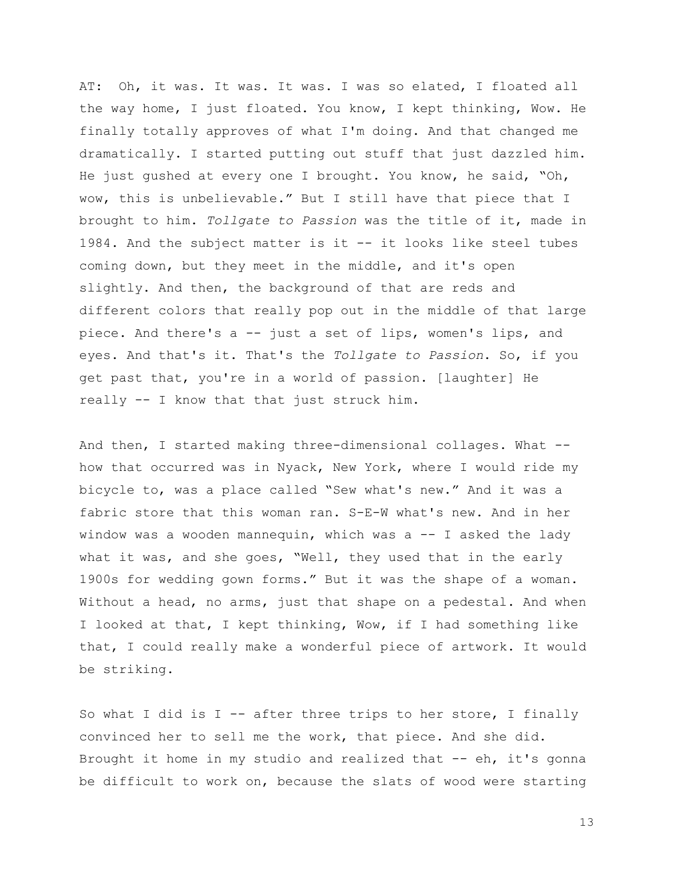AT: Oh, it was. It was. It was. I was so elated, I floated all the way home, I just floated. You know, I kept thinking, Wow. He finally totally approves of what I'm doing. And that changed me dramatically. I started putting out stuff that just dazzled him. He just gushed at every one I brought. You know, he said, "Oh, wow, this is unbelievable." But I still have that piece that I brought to him. *Tollgate to Passion* was the title of it, made in 1984. And the subject matter is it -- it looks like steel tubes coming down, but they meet in the middle, and it's open slightly. And then, the background of that are reds and different colors that really pop out in the middle of that large piece. And there's a -- just a set of lips, women's lips, and eyes. And that's it. That's the *Tollgate to Passion*. So, if you get past that, you're in a world of passion. [laughter] He really -- I know that that just struck him.

And then, I started making three-dimensional collages. What - how that occurred was in Nyack, New York, where I would ride my bicycle to, was a place called "Sew what's new." And it was a fabric store that this woman ran. S-E-W what's new. And in her window was a wooden mannequin, which was  $a -1$  asked the lady what it was, and she goes, "Well, they used that in the early 1900s for wedding gown forms." But it was the shape of a woman. Without a head, no arms, just that shape on a pedestal. And when I looked at that, I kept thinking, Wow, if I had something like that, I could really make a wonderful piece of artwork. It would be striking.

So what I did is I -- after three trips to her store, I finally convinced her to sell me the work, that piece. And she did. Brought it home in my studio and realized that -- eh, it's gonna be difficult to work on, because the slats of wood were starting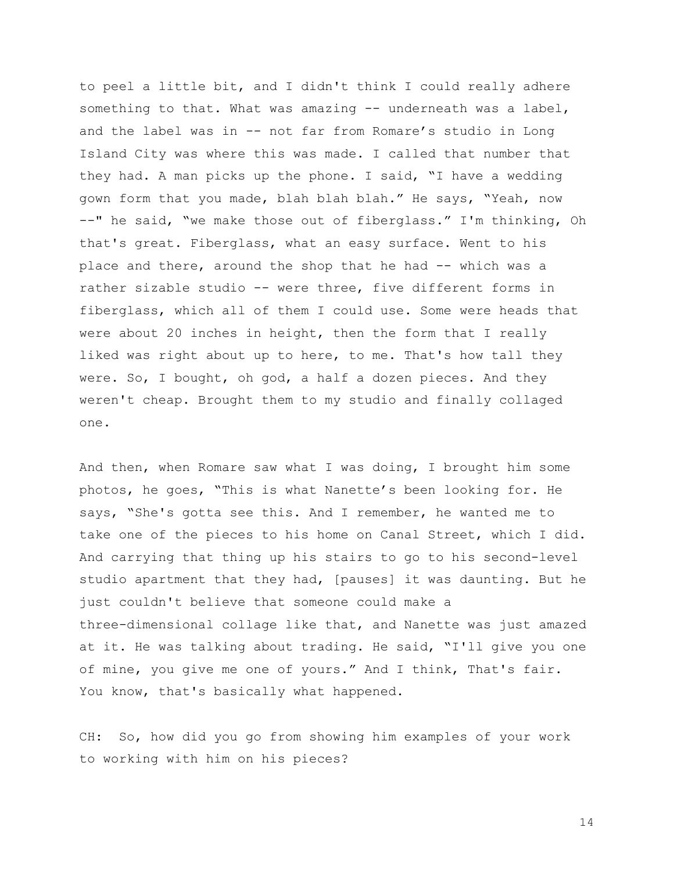to peel a little bit, and I didn't think I could really adhere something to that. What was amazing -- underneath was a label, and the label was in -- not far from Romare's studio in Long Island City was where this was made. I called that number that they had. A man picks up the phone. I said, "I have a wedding gown form that you made, blah blah blah." He says, "Yeah, now --" he said, "we make those out of fiberglass." I'm thinking, Oh that's great. Fiberglass, what an easy surface. Went to his place and there, around the shop that he had -- which was a rather sizable studio -- were three, five different forms in fiberglass, which all of them I could use. Some were heads that were about 20 inches in height, then the form that I really liked was right about up to here, to me. That's how tall they were. So, I bought, oh god, a half a dozen pieces. And they weren't cheap. Brought them to my studio and finally collaged one.

And then, when Romare saw what I was doing, I brought him some photos, he goes, "This is what Nanette's been looking for. He says, "She's gotta see this. And I remember, he wanted me to take one of the pieces to his home on Canal Street, which I did. And carrying that thing up his stairs to go to his second-level studio apartment that they had, [pauses] it was daunting. But he just couldn't believe that someone could make a three-dimensional collage like that, and Nanette was just amazed at it. He was talking about trading. He said, "I'll give you one of mine, you give me one of yours." And I think, That's fair. You know, that's basically what happened.

CH: So, how did you go from showing him examples of your work to working with him on his pieces?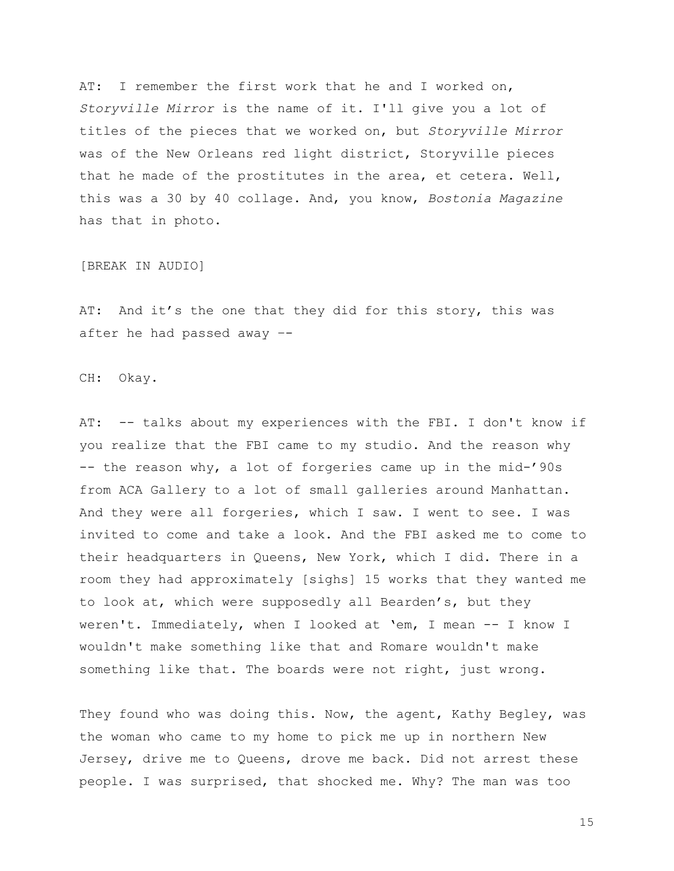AT: I remember the first work that he and I worked on, *Storyville Mirror* is the name of it. I'll give you a lot of titles of the pieces that we worked on, but *Storyville Mirror* was of the New Orleans red light district, Storyville pieces that he made of the prostitutes in the area, et cetera. Well, this was a 30 by 40 collage. And, you know, *Bostonia Magazine* has that in photo.

[BREAK IN AUDIO]

AT: And it's the one that they did for this story, this was after he had passed away –-

CH: Okay.

AT: -- talks about my experiences with the FBI. I don't know if you realize that the FBI came to my studio. And the reason why -- the reason why, a lot of forgeries came up in the mid-'90s from ACA Gallery to a lot of small galleries around Manhattan. And they were all forgeries, which I saw. I went to see. I was invited to come and take a look. And the FBI asked me to come to their headquarters in Queens, New York, which I did. There in a room they had approximately [sighs] 15 works that they wanted me to look at, which were supposedly all Bearden's, but they weren't. Immediately, when I looked at 'em, I mean -- I know I wouldn't make something like that and Romare wouldn't make something like that. The boards were not right, just wrong.

They found who was doing this. Now, the agent, Kathy Begley, was the woman who came to my home to pick me up in northern New Jersey, drive me to Queens, drove me back. Did not arrest these people. I was surprised, that shocked me. Why? The man was too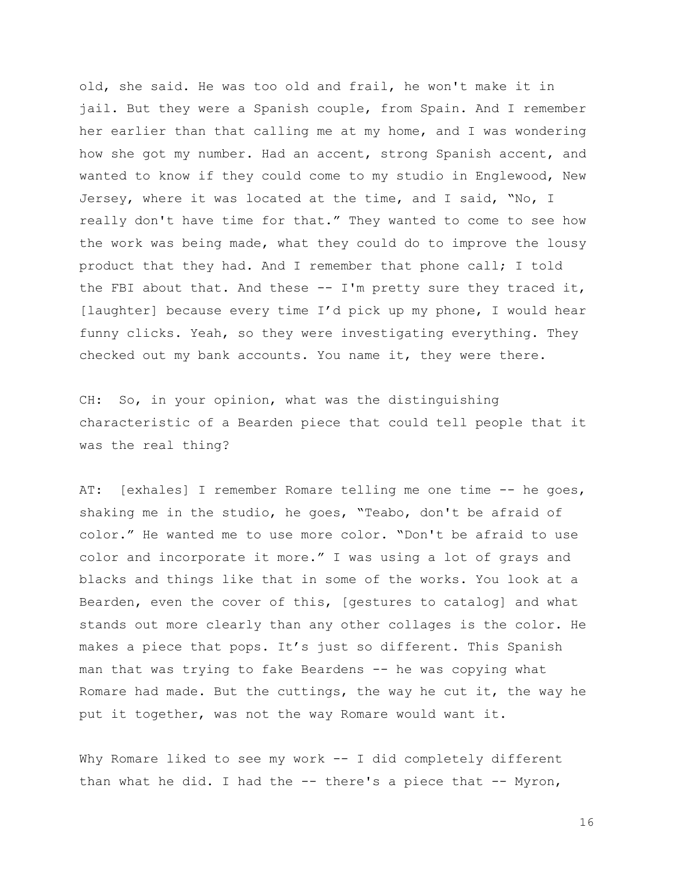old, she said. He was too old and frail, he won't make it in jail. But they were a Spanish couple, from Spain. And I remember her earlier than that calling me at my home, and I was wondering how she got my number. Had an accent, strong Spanish accent, and wanted to know if they could come to my studio in Englewood, New Jersey, where it was located at the time, and I said, "No, I really don't have time for that." They wanted to come to see how the work was being made, what they could do to improve the lousy product that they had. And I remember that phone call; I told the FBI about that. And these  $-$ - I'm pretty sure they traced it, [laughter] because every time I'd pick up my phone, I would hear funny clicks. Yeah, so they were investigating everything. They checked out my bank accounts. You name it, they were there.

CH: So, in your opinion, what was the distinguishing characteristic of a Bearden piece that could tell people that it was the real thing?

AT: [exhales] I remember Romare telling me one time -- he goes, shaking me in the studio, he goes, "Teabo, don't be afraid of color." He wanted me to use more color. "Don't be afraid to use color and incorporate it more." I was using a lot of grays and blacks and things like that in some of the works. You look at a Bearden, even the cover of this, [gestures to catalog] and what stands out more clearly than any other collages is the color. He makes a piece that pops. It's just so different. This Spanish man that was trying to fake Beardens -- he was copying what Romare had made. But the cuttings, the way he cut it, the way he put it together, was not the way Romare would want it.

Why Romare liked to see my work -- I did completely different than what he did. I had the  $-$ - there's a piece that  $-$ - Myron,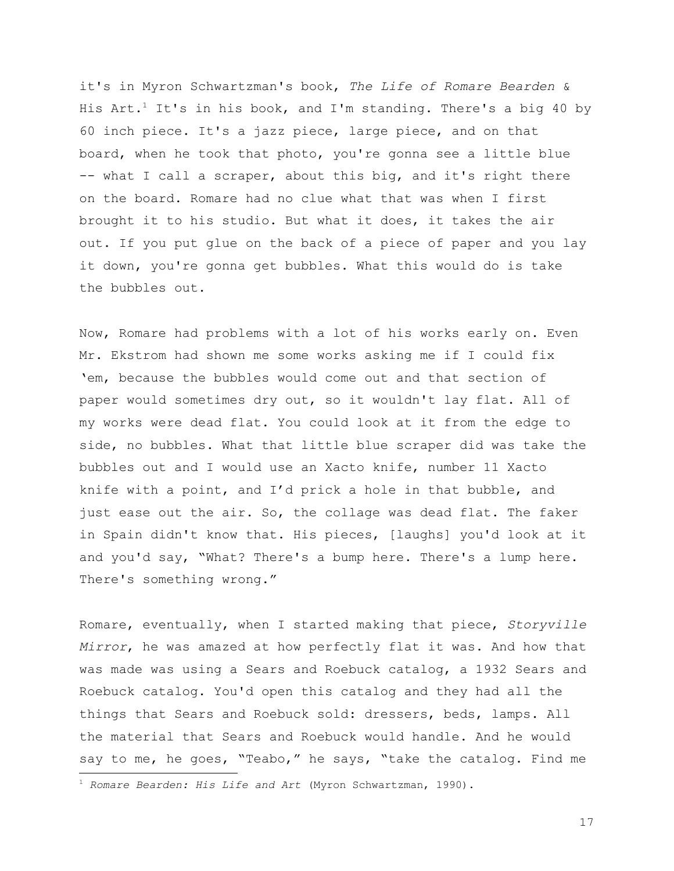it's in Myron Schwartzman's book, *The Life of Romare Bearden* & His Art.<sup>1</sup> It's in his book, and I'm standing. There's a big 40 by 60 inch piece. It's a jazz piece, large piece, and on that board, when he took that photo, you're gonna see a little blue -- what I call a scraper, about this big, and it's right there on the board. Romare had no clue what that was when I first brought it to his studio. But what it does, it takes the air out. If you put glue on the back of a piece of paper and you lay it down, you're gonna get bubbles. What this would do is take the bubbles out.

Now, Romare had problems with a lot of his works early on. Even Mr. Ekstrom had shown me some works asking me if I could fix 'em, because the bubbles would come out and that section of paper would sometimes dry out, so it wouldn't lay flat. All of my works were dead flat. You could look at it from the edge to side, no bubbles. What that little blue scraper did was take the bubbles out and I would use an Xacto knife, number 11 Xacto knife with a point, and I'd prick a hole in that bubble, and just ease out the air. So, the collage was dead flat. The faker in Spain didn't know that. His pieces, [laughs] you'd look at it and you'd say, "What? There's a bump here. There's a lump here. There's something wrong."

Romare, eventually, when I started making that piece, *Storyville Mirror*, he was amazed at how perfectly flat it was. And how that was made was using a Sears and Roebuck catalog, a 1932 Sears and Roebuck catalog. You'd open this catalog and they had all the things that Sears and Roebuck sold: dressers, beds, lamps. All the material that Sears and Roebuck would handle. And he would say to me, he goes, "Teabo," he says, "take the catalog. Find me

<sup>1</sup> *Romare Bearden: His Life and Art* (Myron Schwartzman, 1990).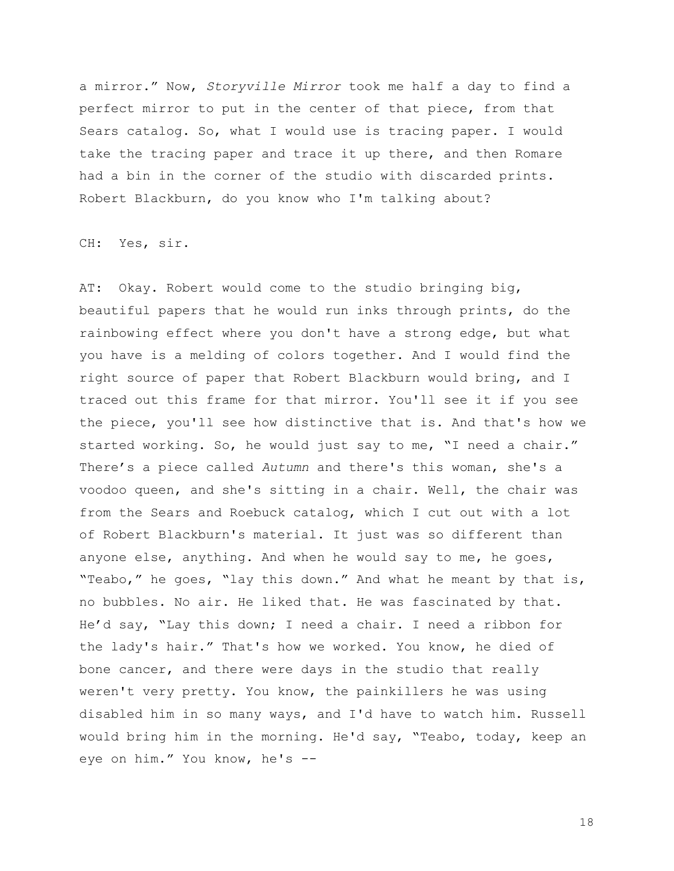a mirror." Now, *Storyville Mirror* took me half a day to find a perfect mirror to put in the center of that piece, from that Sears catalog. So, what I would use is tracing paper. I would take the tracing paper and trace it up there, and then Romare had a bin in the corner of the studio with discarded prints. Robert Blackburn, do you know who I'm talking about?

CH: Yes, sir.

AT: Okay. Robert would come to the studio bringing big, beautiful papers that he would run inks through prints, do the rainbowing effect where you don't have a strong edge, but what you have is a melding of colors together. And I would find the right source of paper that Robert Blackburn would bring, and I traced out this frame for that mirror. You'll see it if you see the piece, you'll see how distinctive that is. And that's how we started working. So, he would just say to me, "I need a chair." There's a piece called *Autumn* and there's this woman, she's a voodoo queen, and she's sitting in a chair. Well, the chair was from the Sears and Roebuck catalog, which I cut out with a lot of Robert Blackburn's material. It just was so different than anyone else, anything. And when he would say to me, he goes, "Teabo," he goes, "lay this down." And what he meant by that is, no bubbles. No air. He liked that. He was fascinated by that. He'd say, "Lay this down; I need a chair. I need a ribbon for the lady's hair." That's how we worked. You know, he died of bone cancer, and there were days in the studio that really weren't very pretty. You know, the painkillers he was using disabled him in so many ways, and I'd have to watch him. Russell would bring him in the morning. He'd say, "Teabo, today, keep an eye on him." You know, he's --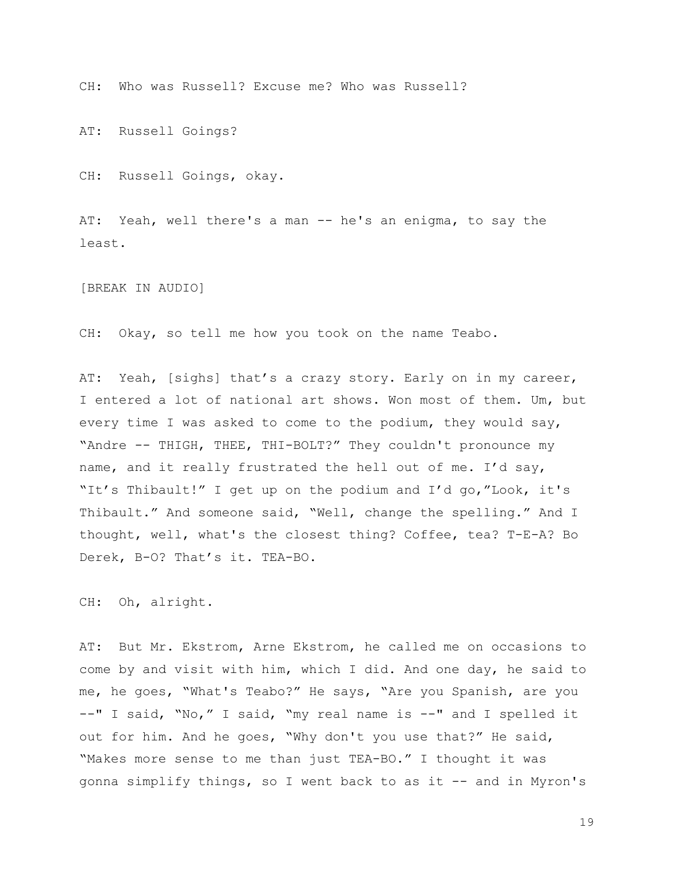CH: Who was Russell? Excuse me? Who was Russell?

AT: Russell Goings?

CH: Russell Goings, okay.

AT: Yeah, well there's a man -- he's an enigma, to say the least.

[BREAK IN AUDIO]

CH: Okay, so tell me how you took on the name Teabo.

AT: Yeah, [sighs] that's a crazy story. Early on in my career, I entered a lot of national art shows. Won most of them. Um, but every time I was asked to come to the podium, they would say, "Andre -- THIGH, THEE, THI-BOLT?" They couldn't pronounce my name, and it really frustrated the hell out of me. I'd say, "It's Thibault!" I get up on the podium and I'd go,"Look, it's Thibault." And someone said, "Well, change the spelling." And I thought, well, what's the closest thing? Coffee, tea? T-E-A? Bo Derek, B-O? That's it. TEA-BO.

CH: Oh, alright.

AT: But Mr. Ekstrom, Arne Ekstrom, he called me on occasions to come by and visit with him, which I did. And one day, he said to me, he goes, "What's Teabo?" He says, "Are you Spanish, are you --" I said, "No," I said, "my real name is --" and I spelled it out for him. And he goes, "Why don't you use that?" He said, "Makes more sense to me than just TEA-BO." I thought it was gonna simplify things, so I went back to as it -- and in Myron's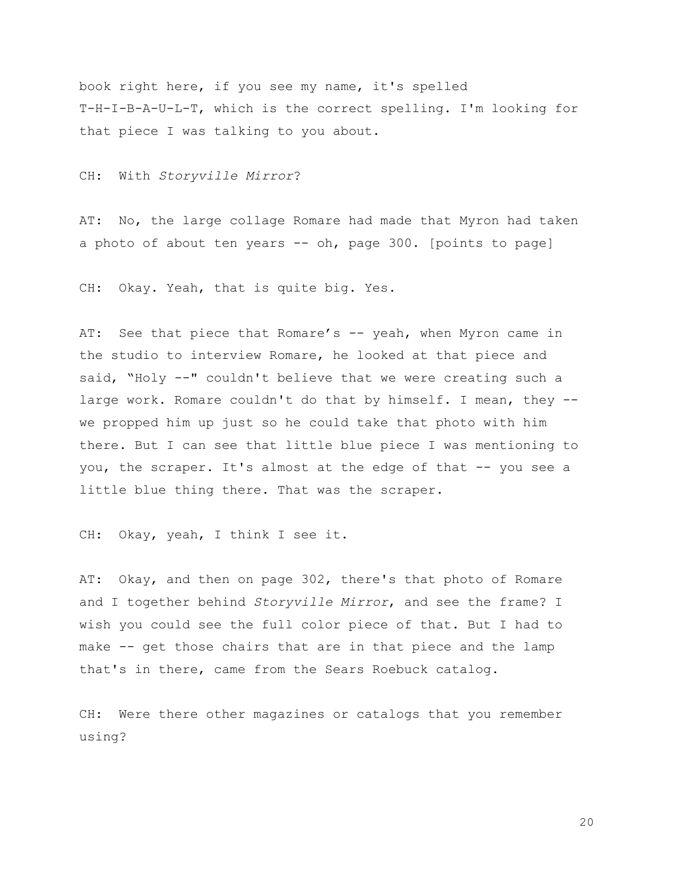book right here, if you see my name, it's spelled T-H-I-B-A-U-L-T, which is the correct spelling. I'm looking for that piece I was talking to you about.

CH: With *Storyville Mirror*?

AT: No, the large collage Romare had made that Myron had taken a photo of about ten years -- oh, page 300. [points to page]

CH: Okay. Yeah, that is quite big. Yes.

AT: See that piece that Romare's -- yeah, when Myron came in the studio to interview Romare, he looked at that piece and said, "Holy --" couldn't believe that we were creating such a large work. Romare couldn't do that by himself. I mean, they - we propped him up just so he could take that photo with him there. But I can see that little blue piece I was mentioning to you, the scraper. It's almost at the edge of that -- you see a little blue thing there. That was the scraper.

CH: Okay, yeah, I think I see it.

AT: Okay, and then on page 302, there's that photo of Romare and I together behind *Storyville Mirror*, and see the frame? I wish you could see the full color piece of that. But I had to make -- get those chairs that are in that piece and the lamp that's in there, came from the Sears Roebuck catalog.

CH: Were there other magazines or catalogs that you remember using?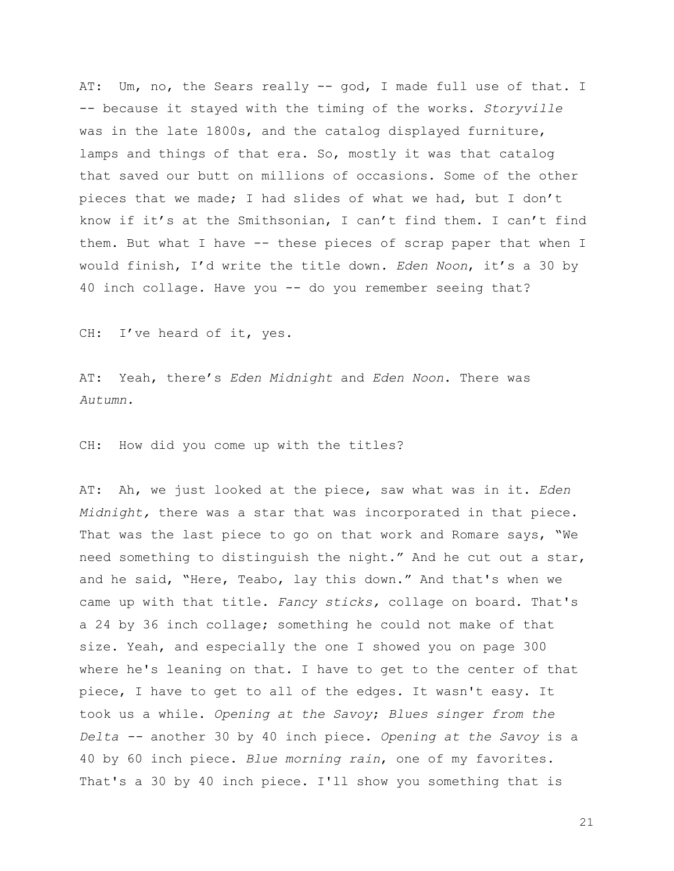AT: Um, no, the Sears really -- god, I made full use of that. I -- because it stayed with the timing of the works. *Storyville* was in the late 1800s, and the catalog displayed furniture, lamps and things of that era. So, mostly it was that catalog that saved our butt on millions of occasions. Some of the other pieces that we made; I had slides of what we had, but I don't know if it's at the Smithsonian, I can't find them. I can't find them. But what I have -- these pieces of scrap paper that when I would finish, I'd write the title down. *Eden Noon*, it's a 30 by 40 inch collage. Have you -- do you remember seeing that?

CH: I've heard of it, yes.

AT: Yeah, there's *Eden Midnight* and *Eden Noon*. There was *Autumn*.

CH: How did you come up with the titles?

AT: Ah, we just looked at the piece, saw what was in it. *Eden Midnight,* there was a star that was incorporated in that piece. That was the last piece to go on that work and Romare says, "We need something to distinguish the night." And he cut out a star, and he said, "Here, Teabo, lay this down." And that's when we came up with that title. *Fancy sticks,* collage on board. That's a 24 by 36 inch collage; something he could not make of that size. Yeah, and especially the one I showed you on page 300 where he's leaning on that. I have to get to the center of that piece, I have to get to all of the edges. It wasn't easy. It took us a while. *Opening at the Savoy*; *Blues singer from the Delta --* another 30 by 40 inch piece. *Opening at the Savoy* is a 40 by 60 inch piece. *Blue morning rain*, one of my favorites. That's a 30 by 40 inch piece. I'll show you something that is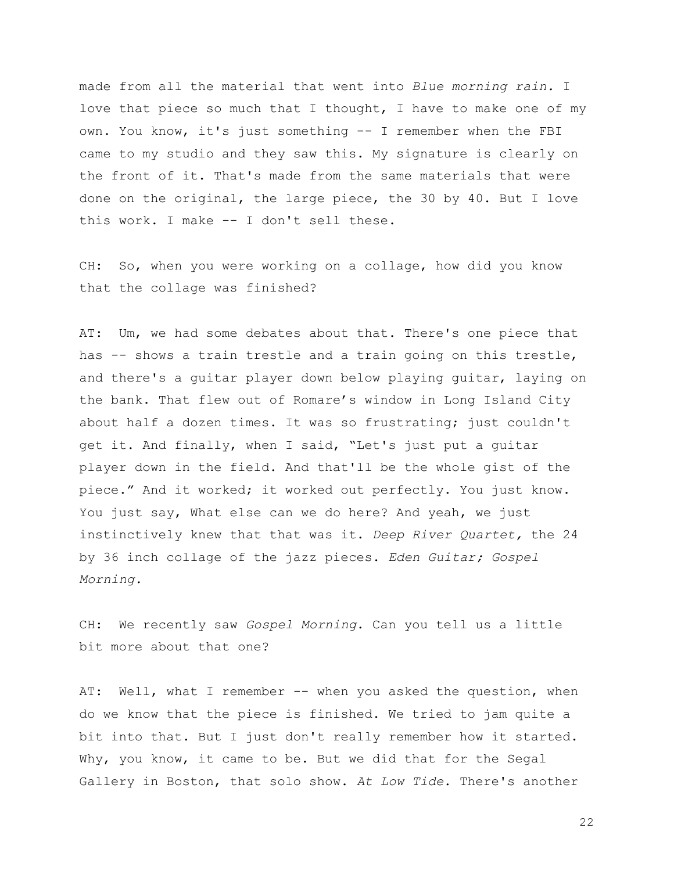made from all the material that went into *Blue morning rain.* I love that piece so much that I thought, I have to make one of my own. You know, it's just something -- I remember when the FBI came to my studio and they saw this. My signature is clearly on the front of it. That's made from the same materials that were done on the original, the large piece, the 30 by 40. But I love this work. I make -- I don't sell these.

CH: So, when you were working on a collage, how did you know that the collage was finished?

AT: Um, we had some debates about that. There's one piece that has -- shows a train trestle and a train going on this trestle, and there's a guitar player down below playing guitar, laying on the bank. That flew out of Romare's window in Long Island City about half a dozen times. It was so frustrating; just couldn't get it. And finally, when I said, "Let's just put a guitar player down in the field. And that'll be the whole gist of the piece." And it worked; it worked out perfectly. You just know. You just say, What else can we do here? And yeah, we just instinctively knew that that was it. *Deep River Quartet,* the 24 by 36 inch collage of the jazz pieces. *Eden Guitar; Gospel Morning.*

CH: We recently saw *Gospel Morning*. Can you tell us a little bit more about that one?

AT: Well, what I remember -- when you asked the question, when do we know that the piece is finished. We tried to jam quite a bit into that. But I just don't really remember how it started. Why, you know, it came to be. But we did that for the Segal Gallery in Boston, that solo show. *At Low Tide*. There's another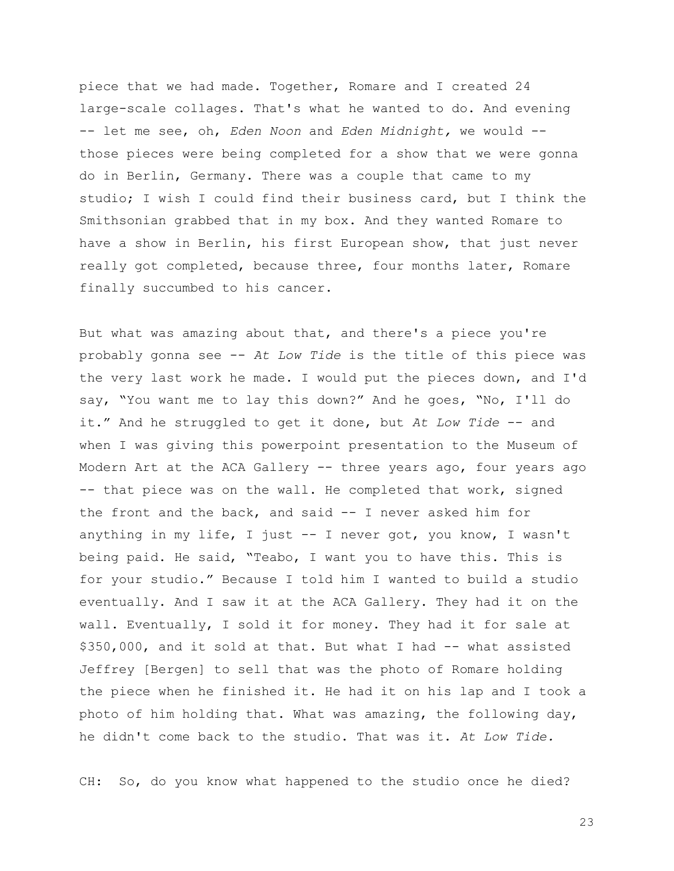piece that we had made. Together, Romare and I created 24 large-scale collages. That's what he wanted to do. And evening -- let me see, oh, *Eden Noon* and *Eden Midnight,* we would - those pieces were being completed for a show that we were gonna do in Berlin, Germany. There was a couple that came to my studio; I wish I could find their business card, but I think the Smithsonian grabbed that in my box. And they wanted Romare to have a show in Berlin, his first European show, that just never really got completed, because three, four months later, Romare finally succumbed to his cancer.

But what was amazing about that, and there's a piece you're probably gonna see -- *At Low Tide* is the title of this piece was the very last work he made. I would put the pieces down, and I'd say, "You want me to lay this down?" And he goes, "No, I'll do it." And he struggled to get it done, but *At Low Tide* -- and when I was giving this powerpoint presentation to the Museum of Modern Art at the ACA Gallery -- three years ago, four years ago -- that piece was on the wall. He completed that work, signed the front and the back, and said -- I never asked him for anything in my life, I just -- I never got, you know, I wasn't being paid. He said, "Teabo, I want you to have this. This is for your studio." Because I told him I wanted to build a studio eventually. And I saw it at the ACA Gallery. They had it on the wall. Eventually, I sold it for money. They had it for sale at \$350,000, and it sold at that. But what I had -- what assisted Jeffrey [Bergen] to sell that was the photo of Romare holding the piece when he finished it. He had it on his lap and I took a photo of him holding that. What was amazing, the following day, he didn't come back to the studio. That was it. *At Low Tide.*

CH: So, do you know what happened to the studio once he died?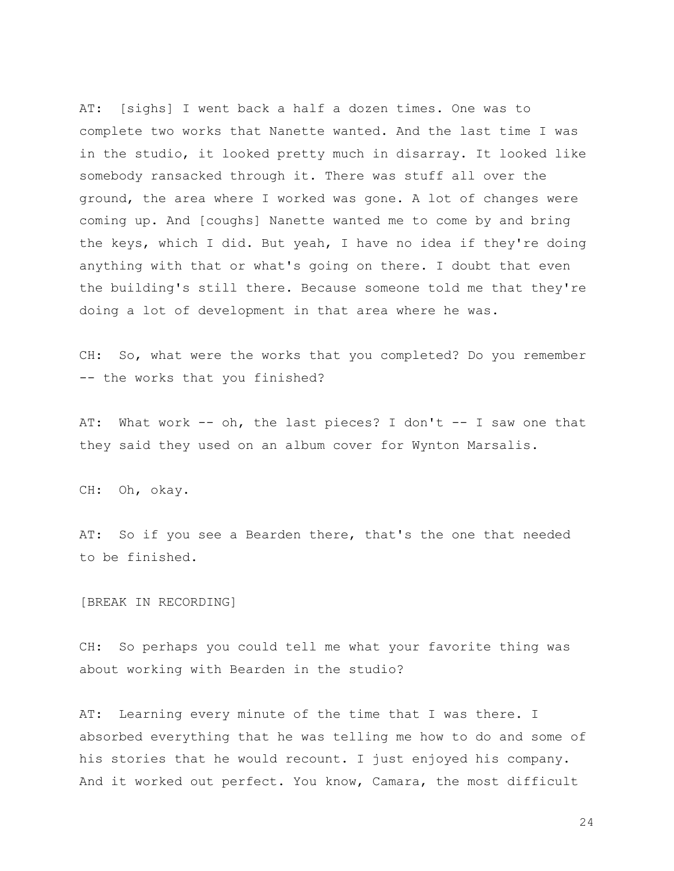AT: [sighs] I went back a half a dozen times. One was to complete two works that Nanette wanted. And the last time I was in the studio, it looked pretty much in disarray. It looked like somebody ransacked through it. There was stuff all over the ground, the area where I worked was gone. A lot of changes were coming up. And [coughs] Nanette wanted me to come by and bring the keys, which I did. But yeah, I have no idea if they're doing anything with that or what's going on there. I doubt that even the building's still there. Because someone told me that they're doing a lot of development in that area where he was.

CH: So, what were the works that you completed? Do you remember -- the works that you finished?

AT: What work -- oh, the last pieces? I don't -- I saw one that they said they used on an album cover for Wynton Marsalis.

CH: Oh, okay.

AT: So if you see a Bearden there, that's the one that needed to be finished.

[BREAK IN RECORDING]

CH: So perhaps you could tell me what your favorite thing was about working with Bearden in the studio?

AT: Learning every minute of the time that I was there. I absorbed everything that he was telling me how to do and some of his stories that he would recount. I just enjoyed his company. And it worked out perfect. You know, Camara, the most difficult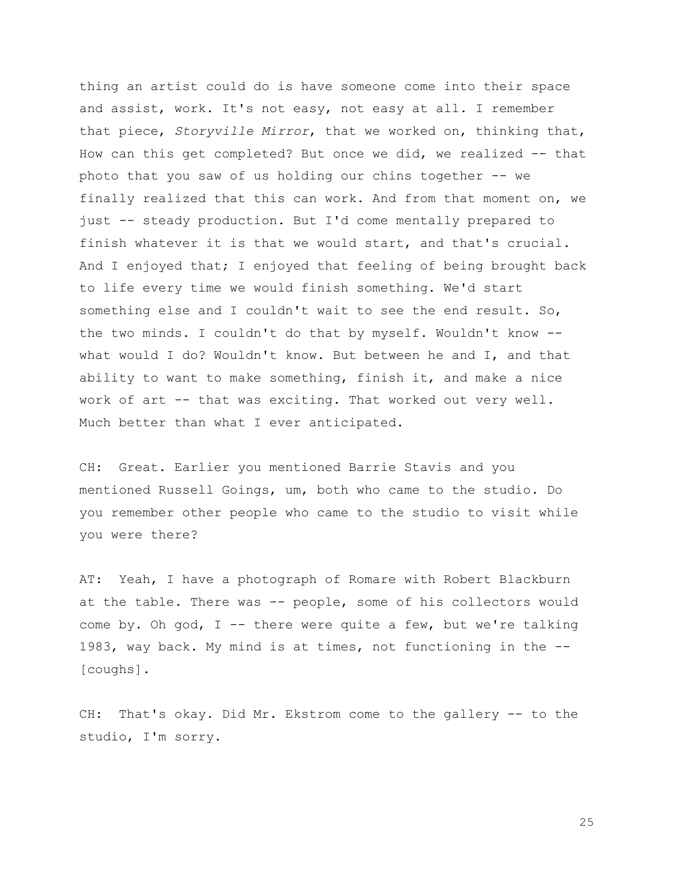thing an artist could do is have someone come into their space and assist, work. It's not easy, not easy at all. I remember that piece, *Storyville Mirror*, that we worked on, thinking that, How can this get completed? But once we did, we realized -- that photo that you saw of us holding our chins together -- we finally realized that this can work. And from that moment on, we just -- steady production. But I'd come mentally prepared to finish whatever it is that we would start, and that's crucial. And I enjoyed that; I enjoyed that feeling of being brought back to life every time we would finish something. We'd start something else and I couldn't wait to see the end result. So, the two minds. I couldn't do that by myself. Wouldn't know - what would I do? Wouldn't know. But between he and I, and that ability to want to make something, finish it, and make a nice work of art -- that was exciting. That worked out very well. Much better than what I ever anticipated.

CH: Great. Earlier you mentioned Barrie Stavis and you mentioned Russell Goings, um, both who came to the studio. Do you remember other people who came to the studio to visit while you were there?

AT: Yeah, I have a photograph of Romare with Robert Blackburn at the table. There was -- people, some of his collectors would come by. Oh god, I -- there were quite a few, but we're talking 1983, way back. My mind is at times, not functioning in the -- [coughs].

CH: That's okay. Did Mr. Ekstrom come to the gallery -- to the studio, I'm sorry.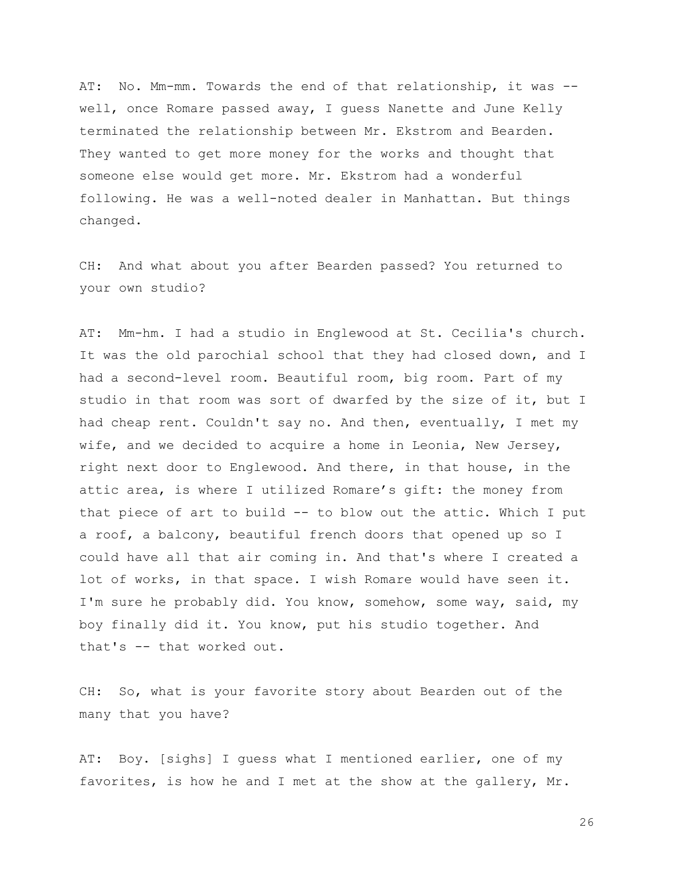AT: No. Mm-mm. Towards the end of that relationship, it was - well, once Romare passed away, I guess Nanette and June Kelly terminated the relationship between Mr. Ekstrom and Bearden. They wanted to get more money for the works and thought that someone else would get more. Mr. Ekstrom had a wonderful following. He was a well-noted dealer in Manhattan. But things changed.

CH: And what about you after Bearden passed? You returned to your own studio?

AT: Mm-hm. I had a studio in Englewood at St. Cecilia's church. It was the old parochial school that they had closed down, and I had a second-level room. Beautiful room, big room. Part of my studio in that room was sort of dwarfed by the size of it, but I had cheap rent. Couldn't say no. And then, eventually, I met my wife, and we decided to acquire a home in Leonia, New Jersey, right next door to Englewood. And there, in that house, in the attic area, is where I utilized Romare's gift: the money from that piece of art to build -- to blow out the attic. Which I put a roof, a balcony, beautiful french doors that opened up so I could have all that air coming in. And that's where I created a lot of works, in that space. I wish Romare would have seen it. I'm sure he probably did. You know, somehow, some way, said, my boy finally did it. You know, put his studio together. And that's -- that worked out.

CH: So, what is your favorite story about Bearden out of the many that you have?

AT: Boy. [sighs] I guess what I mentioned earlier, one of my favorites, is how he and I met at the show at the gallery, Mr.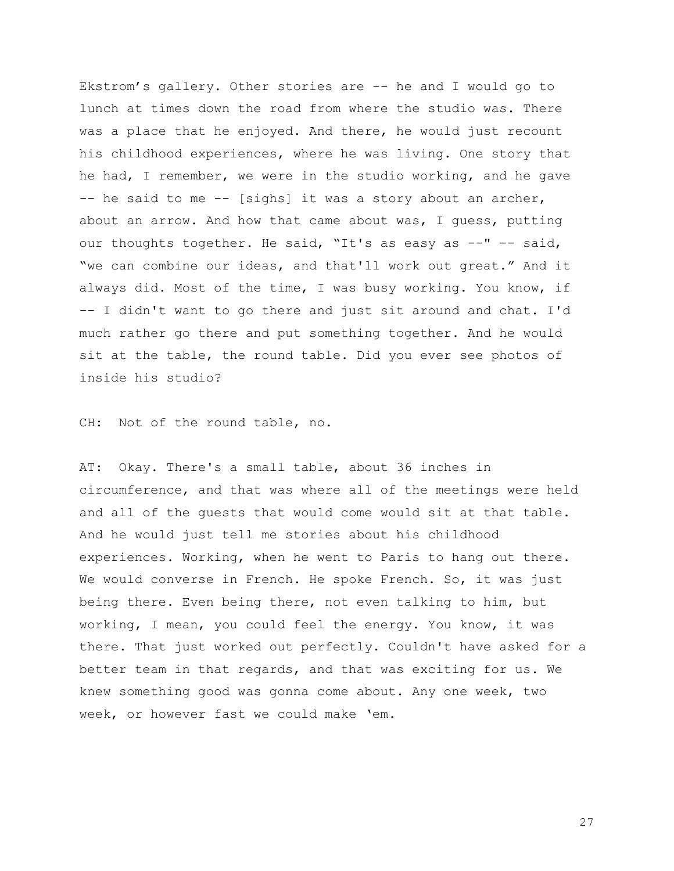Ekstrom's gallery. Other stories are -- he and I would go to lunch at times down the road from where the studio was. There was a place that he enjoyed. And there, he would just recount his childhood experiences, where he was living. One story that he had, I remember, we were in the studio working, and he gave -- he said to me -- [sighs] it was a story about an archer, about an arrow. And how that came about was, I guess, putting our thoughts together. He said, "It's as easy as --" -- said, "we can combine our ideas, and that'll work out great." And it always did. Most of the time, I was busy working. You know, if -- I didn't want to go there and just sit around and chat. I'd much rather go there and put something together. And he would sit at the table, the round table. Did you ever see photos of inside his studio?

CH: Not of the round table, no.

AT: Okay. There's a small table, about 36 inches in circumference, and that was where all of the meetings were held and all of the guests that would come would sit at that table. And he would just tell me stories about his childhood experiences. Working, when he went to Paris to hang out there. We would converse in French. He spoke French. So, it was just being there. Even being there, not even talking to him, but working, I mean, you could feel the energy. You know, it was there. That just worked out perfectly. Couldn't have asked for a better team in that regards, and that was exciting for us. We knew something good was gonna come about. Any one week, two week, or however fast we could make 'em.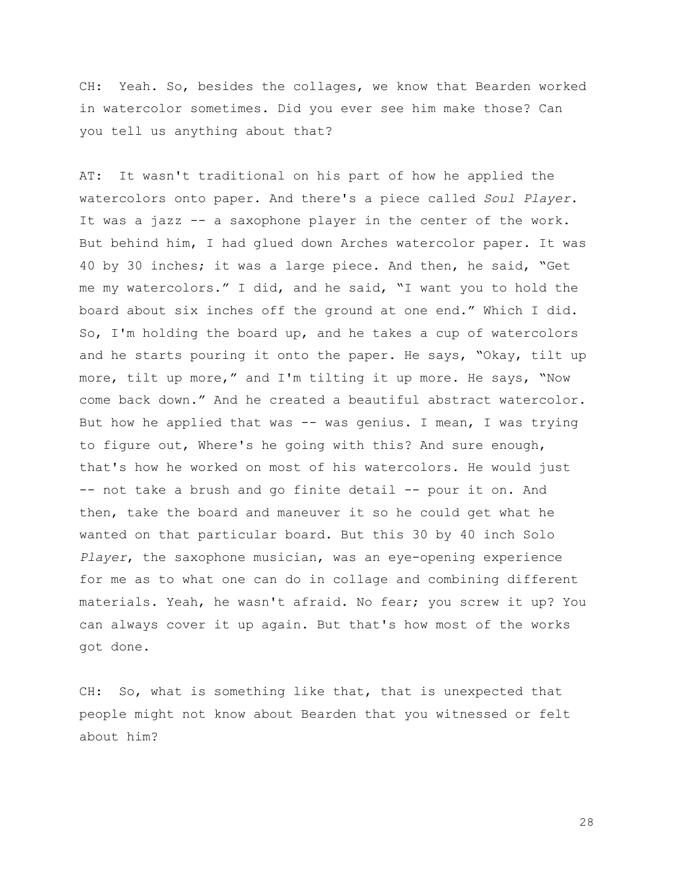CH: Yeah. So, besides the collages, we know that Bearden worked in watercolor sometimes. Did you ever see him make those? Can you tell us anything about that?

AT: It wasn't traditional on his part of how he applied the watercolors onto paper. And there's a piece called *Soul Player*. It was a jazz -- a saxophone player in the center of the work. But behind him, I had glued down Arches watercolor paper. It was 40 by 30 inches; it was a large piece. And then, he said, "Get me my watercolors." I did, and he said, "I want you to hold the board about six inches off the ground at one end." Which I did. So, I'm holding the board up, and he takes a cup of watercolors and he starts pouring it onto the paper. He says, "Okay, tilt up more, tilt up more," and I'm tilting it up more. He says, "Now come back down." And he created a beautiful abstract watercolor. But how he applied that was -- was genius. I mean, I was trying to figure out, Where's he going with this? And sure enough, that's how he worked on most of his watercolors. He would just -- not take a brush and go finite detail -- pour it on. And then, take the board and maneuver it so he could get what he wanted on that particular board. But this 30 by 40 inch Solo *Player*, the saxophone musician, was an eye-opening experience for me as to what one can do in collage and combining different materials. Yeah, he wasn't afraid. No fear; you screw it up? You can always cover it up again. But that's how most of the works got done.

CH: So, what is something like that, that is unexpected that people might not know about Bearden that you witnessed or felt about him?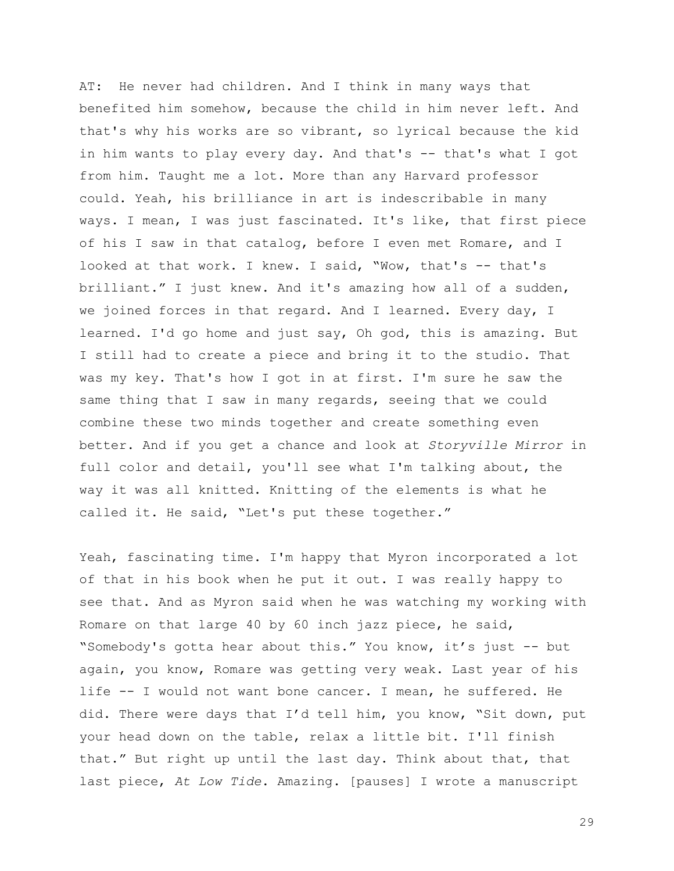AT: He never had children. And I think in many ways that benefited him somehow, because the child in him never left. And that's why his works are so vibrant, so lyrical because the kid in him wants to play every day. And that's -- that's what I got from him. Taught me a lot. More than any Harvard professor could. Yeah, his brilliance in art is indescribable in many ways. I mean, I was just fascinated. It's like, that first piece of his I saw in that catalog, before I even met Romare, and I looked at that work. I knew. I said, "Wow, that's -- that's brilliant." I just knew. And it's amazing how all of a sudden, we joined forces in that regard. And I learned. Every day, I learned. I'd go home and just say, Oh god, this is amazing. But I still had to create a piece and bring it to the studio. That was my key. That's how I got in at first. I'm sure he saw the same thing that I saw in many regards, seeing that we could combine these two minds together and create something even better. And if you get a chance and look at *Storyville Mirror* in full color and detail, you'll see what I'm talking about, the way it was all knitted. Knitting of the elements is what he called it. He said, "Let's put these together."

Yeah, fascinating time. I'm happy that Myron incorporated a lot of that in his book when he put it out. I was really happy to see that. And as Myron said when he was watching my working with Romare on that large 40 by 60 inch jazz piece, he said, "Somebody's gotta hear about this." You know, it's just -- but again, you know, Romare was getting very weak. Last year of his life -- I would not want bone cancer. I mean, he suffered. He did. There were days that I'd tell him, you know, "Sit down, put your head down on the table, relax a little bit. I'll finish that." But right up until the last day. Think about that, that last piece, *At Low Tide*. Amazing. [pauses] I wrote a manuscript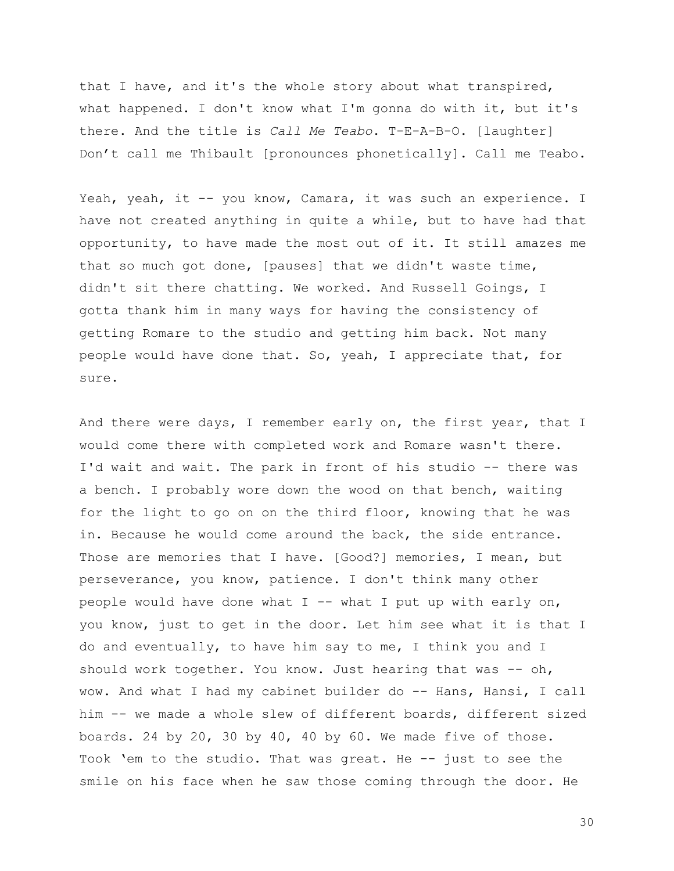that I have, and it's the whole story about what transpired, what happened. I don't know what I'm gonna do with it, but it's there. And the title is *Call Me Teabo*. T-E-A-B-O. [laughter] Don't call me Thibault [pronounces phonetically]. Call me Teabo.

Yeah, yeah, it -- you know, Camara, it was such an experience. I have not created anything in quite a while, but to have had that opportunity, to have made the most out of it. It still amazes me that so much got done, [pauses] that we didn't waste time, didn't sit there chatting. We worked. And Russell Goings, I gotta thank him in many ways for having the consistency of getting Romare to the studio and getting him back. Not many people would have done that. So, yeah, I appreciate that, for sure.

And there were days, I remember early on, the first year, that I would come there with completed work and Romare wasn't there. I'd wait and wait. The park in front of his studio -- there was a bench. I probably wore down the wood on that bench, waiting for the light to go on on the third floor, knowing that he was in. Because he would come around the back, the side entrance. Those are memories that I have. [Good?] memories, I mean, but perseverance, you know, patience. I don't think many other people would have done what  $I$  -- what I put up with early on, you know, just to get in the door. Let him see what it is that I do and eventually, to have him say to me, I think you and I should work together. You know. Just hearing that was -- oh, wow. And what I had my cabinet builder do -- Hans, Hansi, I call him -- we made a whole slew of different boards, different sized boards. 24 by 20, 30 by 40, 40 by 60. We made five of those. Took 'em to the studio. That was great. He -- just to see the smile on his face when he saw those coming through the door. He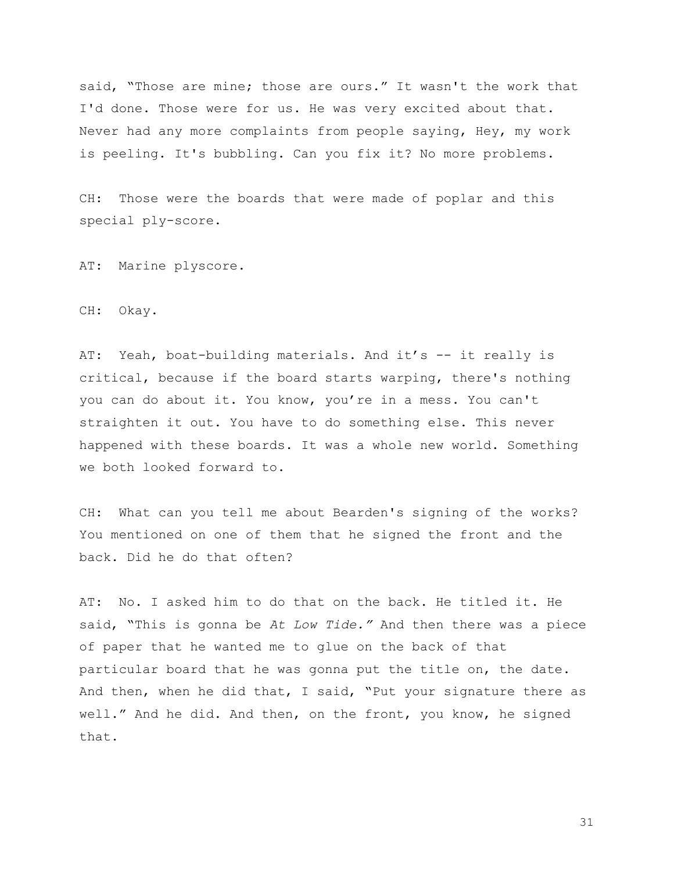said, "Those are mine; those are ours." It wasn't the work that I'd done. Those were for us. He was very excited about that. Never had any more complaints from people saying, Hey, my work is peeling. It's bubbling. Can you fix it? No more problems.

CH: Those were the boards that were made of poplar and this special ply-score.

AT: Marine plyscore.

CH: Okay.

AT: Yeah, boat-building materials. And it's -- it really is critical, because if the board starts warping, there's nothing you can do about it. You know, you're in a mess. You can't straighten it out. You have to do something else. This never happened with these boards. It was a whole new world. Something we both looked forward to.

CH: What can you tell me about Bearden's signing of the works? You mentioned on one of them that he signed the front and the back. Did he do that often?

AT: No. I asked him to do that on the back. He titled it. He said, "This is gonna be *At Low Tide."* And then there was a piece of paper that he wanted me to glue on the back of that particular board that he was gonna put the title on, the date. And then, when he did that, I said, "Put your signature there as well." And he did. And then, on the front, you know, he signed that.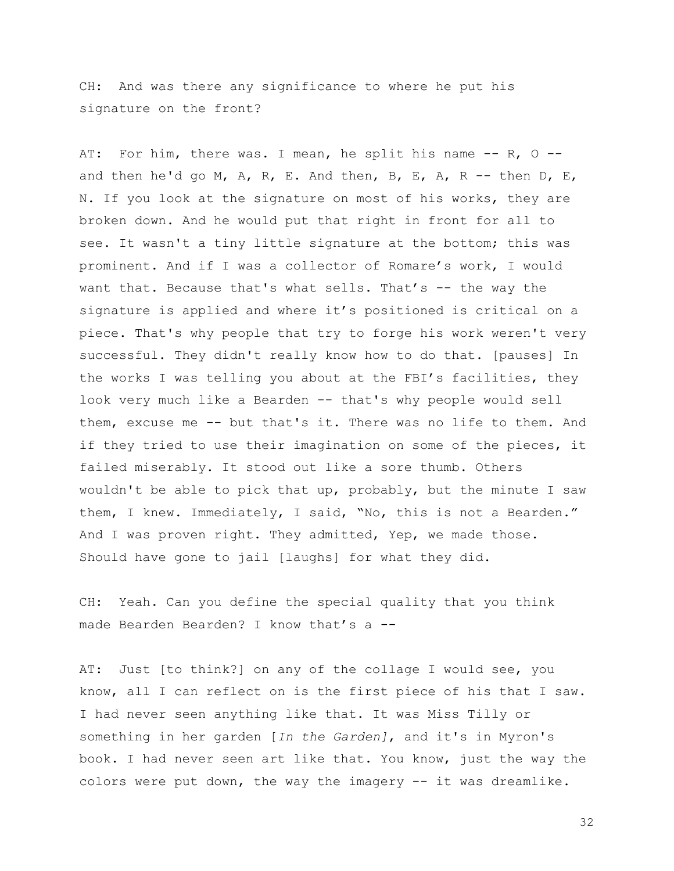CH: And was there any significance to where he put his signature on the front?

AT: For him, there was. I mean, he split his name  $-$ - R, O  $-$ and then he'd go M, A, R, E. And then, B, E, A, R -- then D, E, N. If you look at the signature on most of his works, they are broken down. And he would put that right in front for all to see. It wasn't a tiny little signature at the bottom; this was prominent. And if I was a collector of Romare's work, I would want that. Because that's what sells. That's -- the way the signature is applied and where it's positioned is critical on a piece. That's why people that try to forge his work weren't very successful. They didn't really know how to do that. [pauses] In the works I was telling you about at the FBI's facilities, they look very much like a Bearden -- that's why people would sell them, excuse me -- but that's it. There was no life to them. And if they tried to use their imagination on some of the pieces, it failed miserably. It stood out like a sore thumb. Others wouldn't be able to pick that up, probably, but the minute I saw them, I knew. Immediately, I said, "No, this is not a Bearden." And I was proven right. They admitted, Yep, we made those. Should have gone to jail [laughs] for what they did.

CH: Yeah. Can you define the special quality that you think made Bearden Bearden? I know that's a --

AT: Just [to think?] on any of the collage I would see, you know, all I can reflect on is the first piece of his that I saw. I had never seen anything like that. It was Miss Tilly or something in her garden [*In the Garden]*, and it's in Myron's book. I had never seen art like that. You know, just the way the colors were put down, the way the imagery -- it was dreamlike.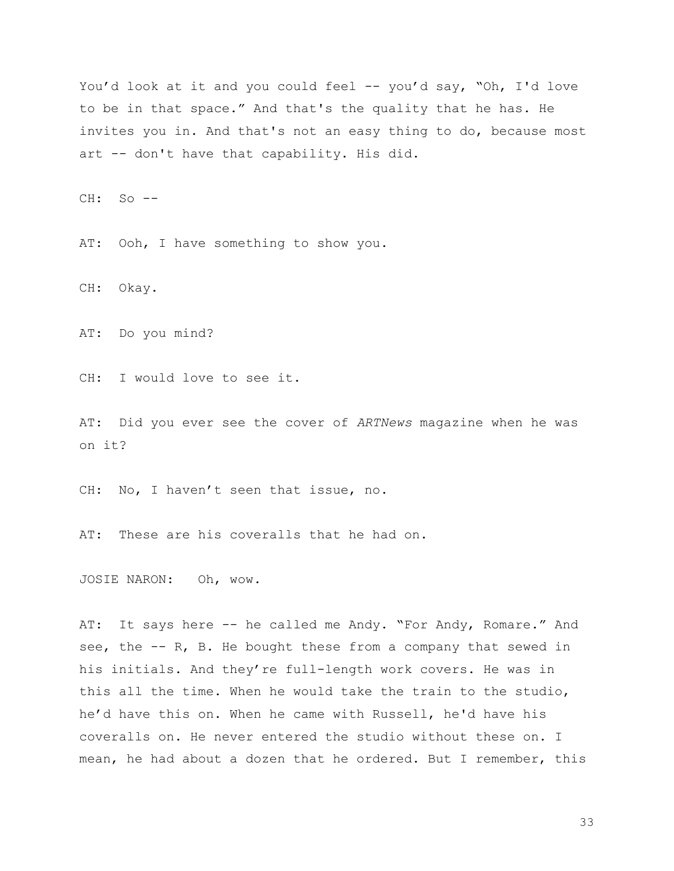You'd look at it and you could feel -- you'd say, "Oh, I'd love to be in that space." And that's the quality that he has. He invites you in. And that's not an easy thing to do, because most art -- don't have that capability. His did.

 $CH: SO =$ 

AT: Ooh, I have something to show you.

CH: Okay.

AT: Do you mind?

CH: I would love to see it.

AT: Did you ever see the cover of *ARTNews* magazine when he was on it?

CH: No, I haven't seen that issue, no.

AT: These are his coveralls that he had on.

JOSIE NARON: Oh, wow.

AT: It says here -- he called me Andy. "For Andy, Romare." And see, the -- R, B. He bought these from a company that sewed in his initials. And they're full-length work covers. He was in this all the time. When he would take the train to the studio, he'd have this on. When he came with Russell, he'd have his coveralls on. He never entered the studio without these on. I mean, he had about a dozen that he ordered. But I remember, this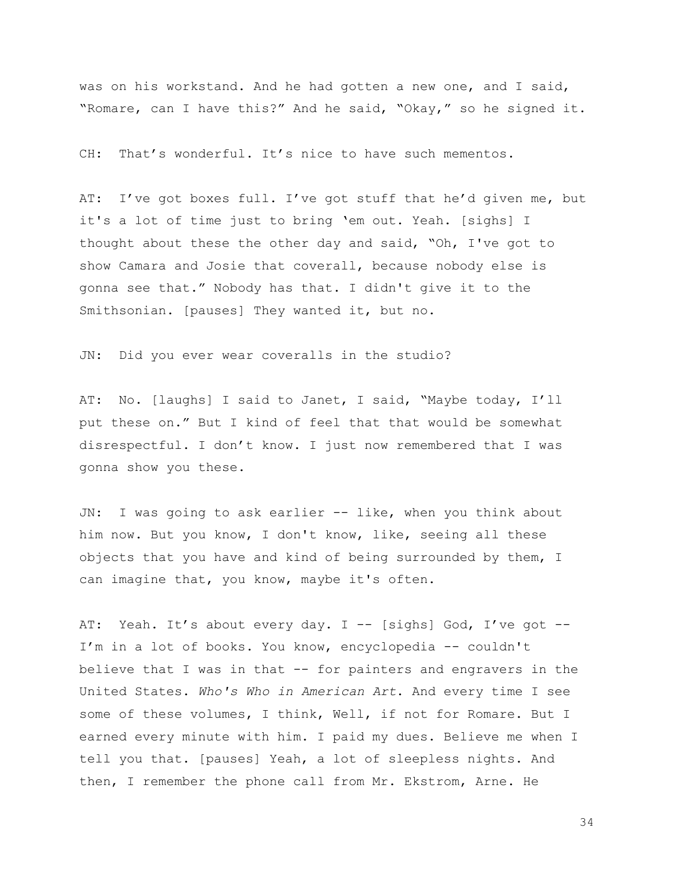was on his workstand. And he had gotten a new one, and I said, "Romare, can I have this?" And he said, "Okay," so he signed it.

CH: That's wonderful. It's nice to have such mementos.

AT: I've got boxes full. I've got stuff that he'd given me, but it's a lot of time just to bring 'em out. Yeah. [sighs] I thought about these the other day and said, "Oh, I've got to show Camara and Josie that coverall, because nobody else is gonna see that." Nobody has that. I didn't give it to the Smithsonian. [pauses] They wanted it, but no.

JN: Did you ever wear coveralls in the studio?

AT: No. [laughs] I said to Janet, I said, "Maybe today, I'll put these on." But I kind of feel that that would be somewhat disrespectful. I don't know. I just now remembered that I was gonna show you these.

JN: I was going to ask earlier -- like, when you think about him now. But you know, I don't know, like, seeing all these objects that you have and kind of being surrounded by them, I can imagine that, you know, maybe it's often.

AT: Yeah. It's about every day. I -- [sighs] God, I've got --I'm in a lot of books. You know, encyclopedia -- couldn't believe that I was in that -- for painters and engravers in the United States. *Who's Who in American Art*. And every time I see some of these volumes, I think, Well, if not for Romare. But I earned every minute with him. I paid my dues. Believe me when I tell you that. [pauses] Yeah, a lot of sleepless nights. And then, I remember the phone call from Mr. Ekstrom, Arne. He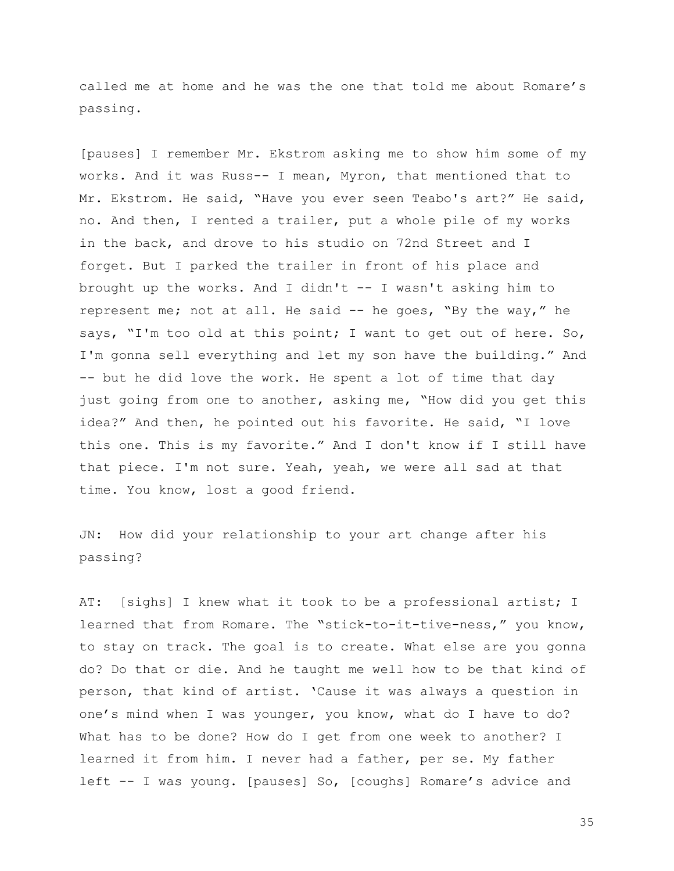called me at home and he was the one that told me about Romare's passing.

[pauses] I remember Mr. Ekstrom asking me to show him some of my works. And it was Russ-- I mean, Myron, that mentioned that to Mr. Ekstrom. He said, "Have you ever seen Teabo's art?" He said, no. And then, I rented a trailer, put a whole pile of my works in the back, and drove to his studio on 72nd Street and I forget. But I parked the trailer in front of his place and brought up the works. And I didn't -- I wasn't asking him to represent me; not at all. He said -- he goes, "By the way," he says, "I'm too old at this point; I want to get out of here. So, I'm gonna sell everything and let my son have the building." And -- but he did love the work. He spent a lot of time that day just going from one to another, asking me, "How did you get this idea?" And then, he pointed out his favorite. He said, "I love this one. This is my favorite." And I don't know if I still have that piece. I'm not sure. Yeah, yeah, we were all sad at that time. You know, lost a good friend.

JN: How did your relationship to your art change after his passing?

AT: [sighs] I knew what it took to be a professional artist; I learned that from Romare. The "stick-to-it-tive-ness," you know, to stay on track. The goal is to create. What else are you gonna do? Do that or die. And he taught me well how to be that kind of person, that kind of artist. 'Cause it was always a question in one's mind when I was younger, you know, what do I have to do? What has to be done? How do I get from one week to another? I learned it from him. I never had a father, per se. My father left -- I was young. [pauses] So, [coughs] Romare's advice and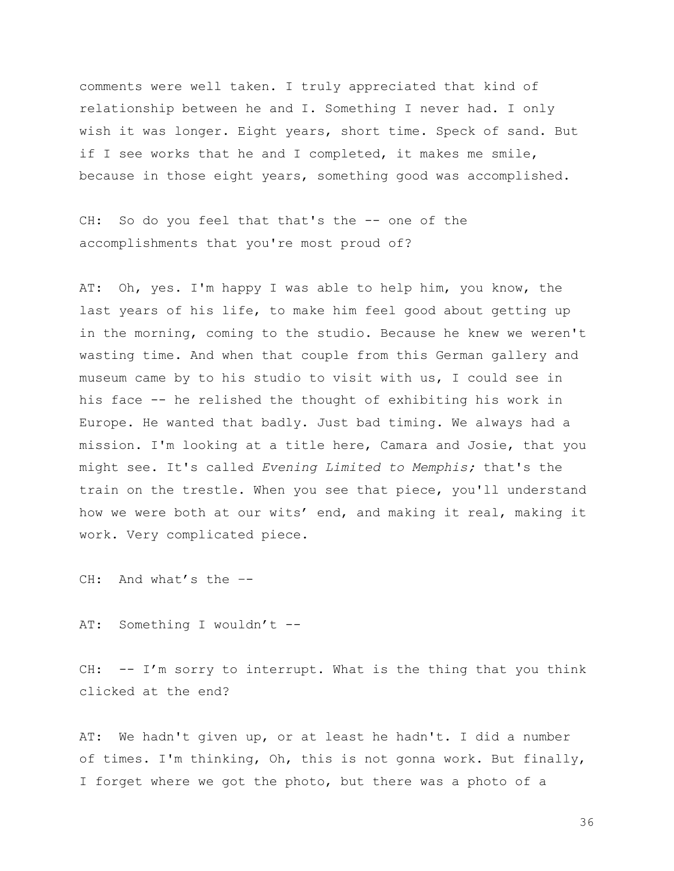comments were well taken. I truly appreciated that kind of relationship between he and I. Something I never had. I only wish it was longer. Eight years, short time. Speck of sand. But if I see works that he and I completed, it makes me smile, because in those eight years, something good was accomplished.

CH: So do you feel that that's the -- one of the accomplishments that you're most proud of?

AT: Oh, yes. I'm happy I was able to help him, you know, the last years of his life, to make him feel good about getting up in the morning, coming to the studio. Because he knew we weren't wasting time. And when that couple from this German gallery and museum came by to his studio to visit with us, I could see in his face -- he relished the thought of exhibiting his work in Europe. He wanted that badly. Just bad timing. We always had a mission. I'm looking at a title here, Camara and Josie, that you might see. It's called *Evening Limited to Memphis;* that's the train on the trestle. When you see that piece, you'll understand how we were both at our wits' end, and making it real, making it work. Very complicated piece.

CH: And what's the –-

AT: Something I wouldn't --

CH:  $-- I'm$  sorry to interrupt. What is the thing that you think clicked at the end?

AT: We hadn't given up, or at least he hadn't. I did a number of times. I'm thinking, Oh, this is not gonna work. But finally, I forget where we got the photo, but there was a photo of a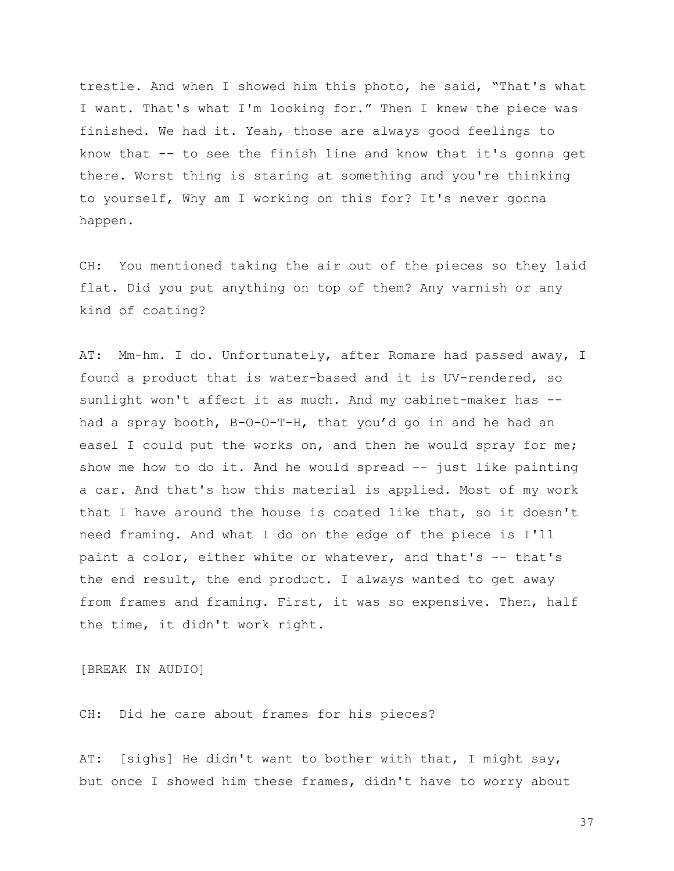trestle. And when I showed him this photo, he said, "That's what I want. That's what I'm looking for." Then I knew the piece was finished. We had it. Yeah, those are always good feelings to know that -- to see the finish line and know that it's gonna get there. Worst thing is staring at something and you're thinking to yourself, Why am I working on this for? It's never gonna happen.

CH: You mentioned taking the air out of the pieces so they laid flat. Did you put anything on top of them? Any varnish or any kind of coating?

AT: Mm-hm. I do. Unfortunately, after Romare had passed away, I found a product that is water-based and it is UV-rendered, so sunlight won't affect it as much. And my cabinet-maker has -had a spray booth, B-O-O-T-H, that you'd go in and he had an easel I could put the works on, and then he would spray for me; show me how to do it. And he would spread -- just like painting a car. And that's how this material is applied. Most of my work that I have around the house is coated like that, so it doesn't need framing. And what I do on the edge of the piece is I'll paint a color, either white or whatever, and that's -- that's the end result, the end product. I always wanted to get away from frames and framing. First, it was so expensive. Then, half the time, it didn't work right.

[BREAK IN AUDIO]

CH: Did he care about frames for his pieces?

AT: [sighs] He didn't want to bother with that, I might say, but once I showed him these frames, didn't have to worry about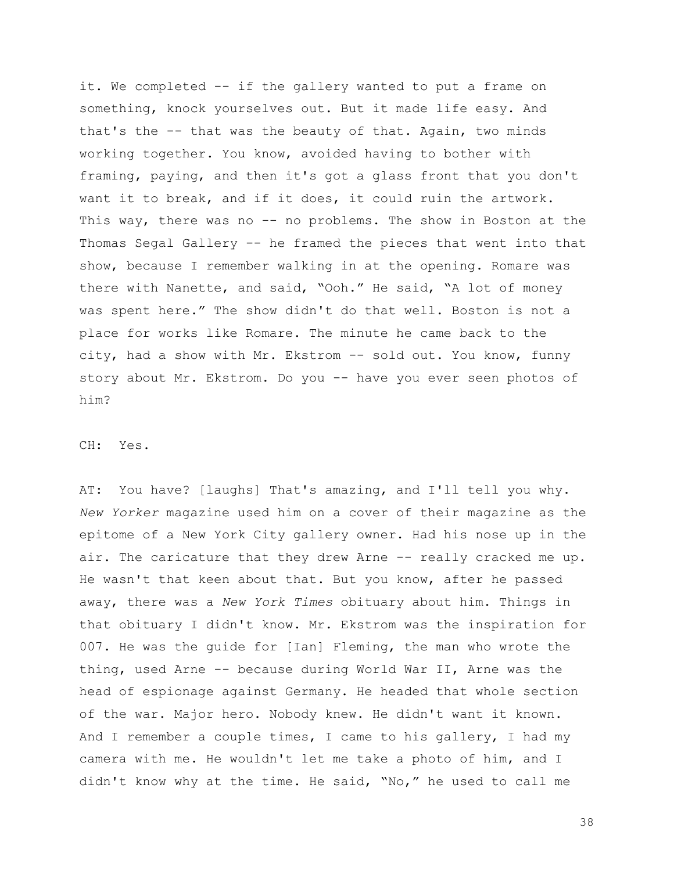it. We completed -- if the gallery wanted to put a frame on something, knock yourselves out. But it made life easy. And that's the -- that was the beauty of that. Again, two minds working together. You know, avoided having to bother with framing, paying, and then it's got a glass front that you don't want it to break, and if it does, it could ruin the artwork. This way, there was no -- no problems. The show in Boston at the Thomas Segal Gallery -- he framed the pieces that went into that show, because I remember walking in at the opening. Romare was there with Nanette, and said, "Ooh." He said, "A lot of money was spent here." The show didn't do that well. Boston is not a place for works like Romare. The minute he came back to the city, had a show with Mr. Ekstrom -- sold out. You know, funny story about Mr. Ekstrom. Do you -- have you ever seen photos of him?

CH: Yes.

AT: You have? [laughs] That's amazing, and I'll tell you why. *New Yorker* magazine used him on a cover of their magazine as the epitome of a New York City gallery owner. Had his nose up in the air. The caricature that they drew Arne -- really cracked me up. He wasn't that keen about that. But you know, after he passed away, there was a *New York Times* obituary about him. Things in that obituary I didn't know. Mr. Ekstrom was the inspiration for 007. He was the guide for [Ian] Fleming, the man who wrote the thing, used Arne -- because during World War II, Arne was the head of espionage against Germany. He headed that whole section of the war. Major hero. Nobody knew. He didn't want it known. And I remember a couple times, I came to his gallery, I had my camera with me. He wouldn't let me take a photo of him, and I didn't know why at the time. He said, "No," he used to call me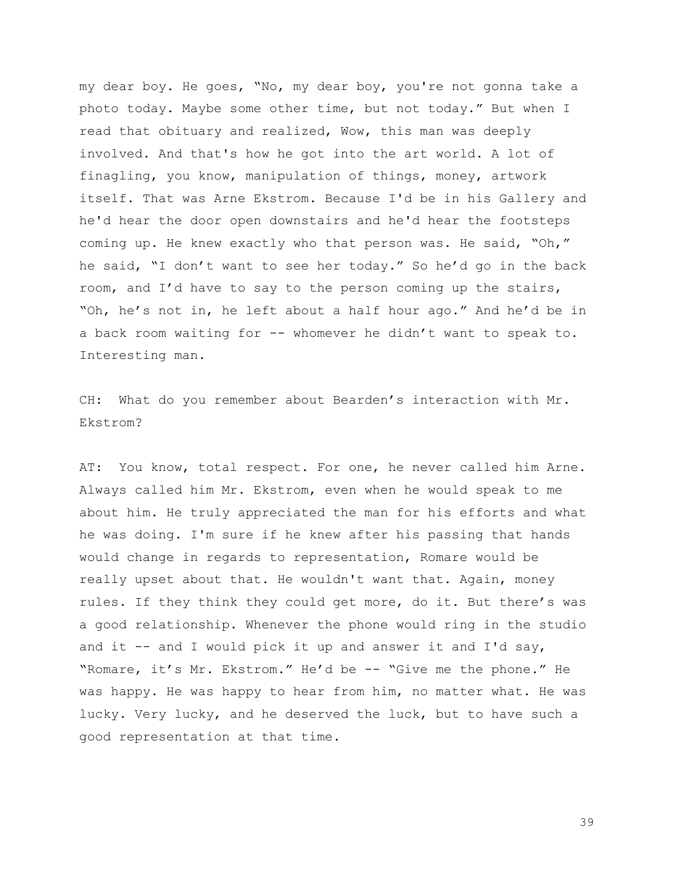my dear boy. He goes, "No, my dear boy, you're not gonna take a photo today. Maybe some other time, but not today." But when I read that obituary and realized, Wow, this man was deeply involved. And that's how he got into the art world. A lot of finagling, you know, manipulation of things, money, artwork itself. That was Arne Ekstrom. Because I'd be in his Gallery and he'd hear the door open downstairs and he'd hear the footsteps coming up. He knew exactly who that person was. He said, "Oh," he said, "I don't want to see her today." So he'd go in the back room, and I'd have to say to the person coming up the stairs, "Oh, he's not in, he left about a half hour ago." And he'd be in a back room waiting for -- whomever he didn't want to speak to. Interesting man.

CH: What do you remember about Bearden's interaction with Mr. Ekstrom?

AT: You know, total respect. For one, he never called him Arne. Always called him Mr. Ekstrom, even when he would speak to me about him. He truly appreciated the man for his efforts and what he was doing. I'm sure if he knew after his passing that hands would change in regards to representation, Romare would be really upset about that. He wouldn't want that. Again, money rules. If they think they could get more, do it. But there's was a good relationship. Whenever the phone would ring in the studio and it  $-$  and I would pick it up and answer it and I'd say, "Romare, it's Mr. Ekstrom." He'd be -- "Give me the phone." He was happy. He was happy to hear from him, no matter what. He was lucky. Very lucky, and he deserved the luck, but to have such a good representation at that time.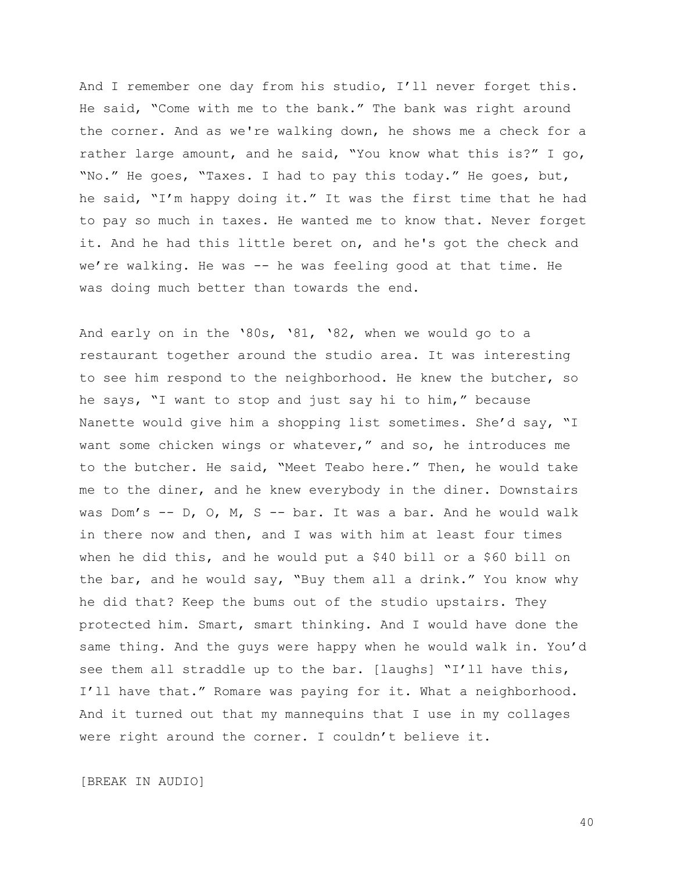And I remember one day from his studio, I'll never forget this. He said, "Come with me to the bank." The bank was right around the corner. And as we're walking down, he shows me a check for a rather large amount, and he said, "You know what this is?" I go, "No." He goes, "Taxes. I had to pay this today." He goes, but, he said, "I'm happy doing it." It was the first time that he had to pay so much in taxes. He wanted me to know that. Never forget it. And he had this little beret on, and he's got the check and we're walking. He was -- he was feeling good at that time. He was doing much better than towards the end.

And early on in the '80s, '81, '82, when we would go to a restaurant together around the studio area. It was interesting to see him respond to the neighborhood. He knew the butcher, so he says, "I want to stop and just say hi to him," because Nanette would give him a shopping list sometimes. She'd say, "I want some chicken wings or whatever," and so, he introduces me to the butcher. He said, "Meet Teabo here." Then, he would take me to the diner, and he knew everybody in the diner. Downstairs was Dom's -- D, O, M, S -- bar. It was a bar. And he would walk in there now and then, and I was with him at least four times when he did this, and he would put a \$40 bill or a \$60 bill on the bar, and he would say, "Buy them all a drink." You know why he did that? Keep the bums out of the studio upstairs. They protected him. Smart, smart thinking. And I would have done the same thing. And the guys were happy when he would walk in. You'd see them all straddle up to the bar. [laughs] "I'll have this, I'll have that." Romare was paying for it. What a neighborhood. And it turned out that my mannequins that I use in my collages were right around the corner. I couldn't believe it.

[BREAK IN AUDIO]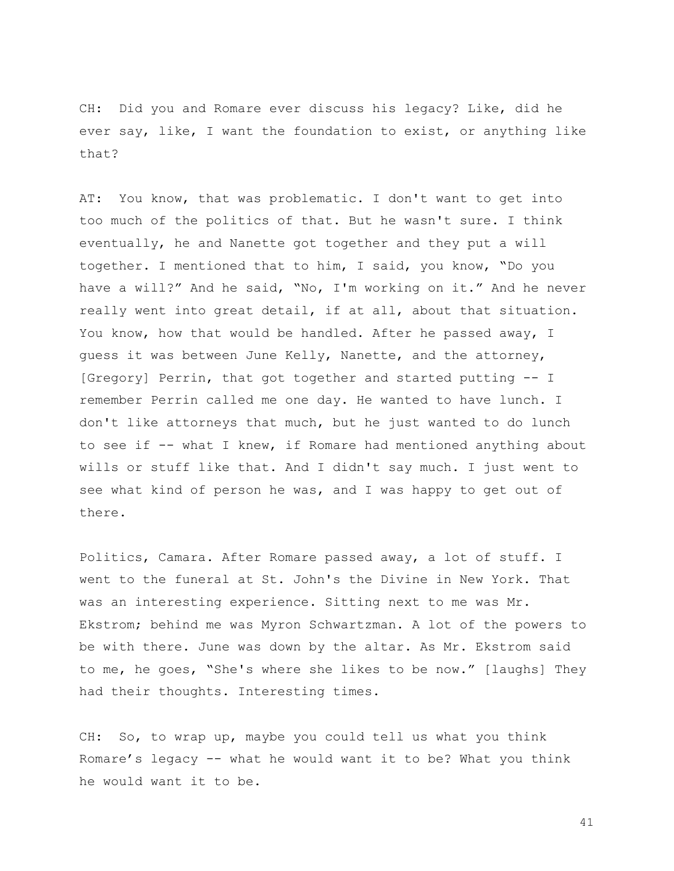CH: Did you and Romare ever discuss his legacy? Like, did he ever say, like, I want the foundation to exist, or anything like that?

AT: You know, that was problematic. I don't want to get into too much of the politics of that. But he wasn't sure. I think eventually, he and Nanette got together and they put a will together. I mentioned that to him, I said, you know, "Do you have a will?" And he said, "No, I'm working on it." And he never really went into great detail, if at all, about that situation. You know, how that would be handled. After he passed away, I guess it was between June Kelly, Nanette, and the attorney, [Gregory] Perrin, that got together and started putting -- I remember Perrin called me one day. He wanted to have lunch. I don't like attorneys that much, but he just wanted to do lunch to see if -- what I knew, if Romare had mentioned anything about wills or stuff like that. And I didn't say much. I just went to see what kind of person he was, and I was happy to get out of there.

Politics, Camara. After Romare passed away, a lot of stuff. I went to the funeral at St. John's the Divine in New York. That was an interesting experience. Sitting next to me was Mr. Ekstrom; behind me was Myron Schwartzman. A lot of the powers to be with there. June was down by the altar. As Mr. Ekstrom said to me, he goes, "She's where she likes to be now." [laughs] They had their thoughts. Interesting times.

CH: So, to wrap up, maybe you could tell us what you think Romare's legacy -- what he would want it to be? What you think he would want it to be.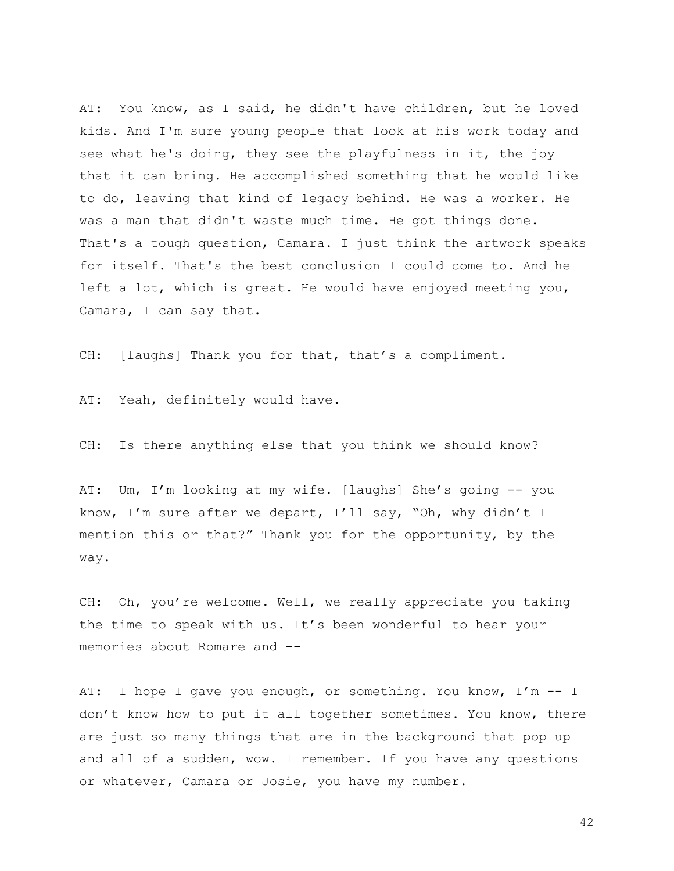AT: You know, as I said, he didn't have children, but he loved kids. And I'm sure young people that look at his work today and see what he's doing, they see the playfulness in it, the joy that it can bring. He accomplished something that he would like to do, leaving that kind of legacy behind. He was a worker. He was a man that didn't waste much time. He got things done. That's a tough question, Camara. I just think the artwork speaks for itself. That's the best conclusion I could come to. And he left a lot, which is great. He would have enjoyed meeting you, Camara, I can say that.

CH: [laughs] Thank you for that, that's a compliment.

AT: Yeah, definitely would have.

CH: Is there anything else that you think we should know?

AT: Um, I'm looking at my wife. [laughs] She's going -- you know, I'm sure after we depart, I'll say, "Oh, why didn't I mention this or that?" Thank you for the opportunity, by the way.

CH: Oh, you're welcome. Well, we really appreciate you taking the time to speak with us. It's been wonderful to hear your memories about Romare and --

AT: I hope I gave you enough, or something. You know, I'm -- I don't know how to put it all together sometimes. You know, there are just so many things that are in the background that pop up and all of a sudden, wow. I remember. If you have any questions or whatever, Camara or Josie, you have my number.